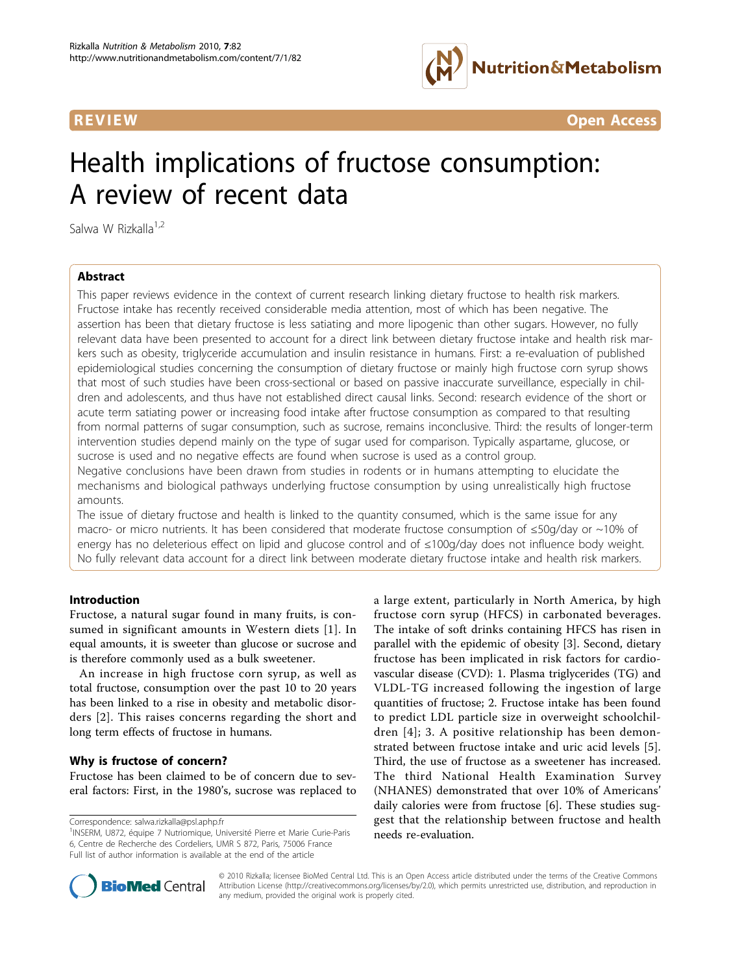

**REVIEW CONSULTER CONSULTER CONSULTER CONSULTER CONSULTER CONSULTER CONSULTER CONSULTER CONSULTER CONSULTER CONSULTER CONSULTER CONSULTER CONSULTER CONSULTER CONSULTER CONSULTER CONSULTER CONSULTER CONSULTER CONSULTER CONS** 

# Health implications of fructose consumption: A review of recent data

Salwa W Rizkalla<sup>1,2</sup>

#### Abstract

This paper reviews evidence in the context of current research linking dietary fructose to health risk markers. Fructose intake has recently received considerable media attention, most of which has been negative. The assertion has been that dietary fructose is less satiating and more lipogenic than other sugars. However, no fully relevant data have been presented to account for a direct link between dietary fructose intake and health risk markers such as obesity, triglyceride accumulation and insulin resistance in humans. First: a re-evaluation of published epidemiological studies concerning the consumption of dietary fructose or mainly high fructose corn syrup shows that most of such studies have been cross-sectional or based on passive inaccurate surveillance, especially in children and adolescents, and thus have not established direct causal links. Second: research evidence of the short or acute term satiating power or increasing food intake after fructose consumption as compared to that resulting from normal patterns of sugar consumption, such as sucrose, remains inconclusive. Third: the results of longer-term intervention studies depend mainly on the type of sugar used for comparison. Typically aspartame, glucose, or sucrose is used and no negative effects are found when sucrose is used as a control group.

Negative conclusions have been drawn from studies in rodents or in humans attempting to elucidate the mechanisms and biological pathways underlying fructose consumption by using unrealistically high fructose amounts.

The issue of dietary fructose and health is linked to the quantity consumed, which is the same issue for any macro- or micro nutrients. It has been considered that moderate fructose consumption of ≤50g/day or ~10% of energy has no deleterious effect on lipid and glucose control and of ≤100g/day does not influence body weight. No fully relevant data account for a direct link between moderate dietary fructose intake and health risk markers.

#### Introduction

Fructose, a natural sugar found in many fruits, is consumed in significant amounts in Western diets [[1](#page-12-0)]. In equal amounts, it is sweeter than glucose or sucrose and is therefore commonly used as a bulk sweetener.

An increase in high fructose corn syrup, as well as total fructose, consumption over the past 10 to 20 years has been linked to a rise in obesity and metabolic disorders [[2\]](#page-12-0). This raises concerns regarding the short and long term effects of fructose in humans.

#### Why is fructose of concern?

Fructose has been claimed to be of concern due to several factors: First, in the 1980's, sucrose was replaced to

Correspondence: [salwa.rizkalla@psl.aphp.fr](mailto:salwa.rizkalla@psl.aphp.fr)

a large extent, particularly in North America, by high fructose corn syrup (HFCS) in carbonated beverages. The intake of soft drinks containing HFCS has risen in parallel with the epidemic of obesity [\[3\]](#page-12-0). Second, dietary fructose has been implicated in risk factors for cardiovascular disease (CVD): 1. Plasma triglycerides (TG) and VLDL-TG increased following the ingestion of large quantities of fructose; 2. Fructose intake has been found to predict LDL particle size in overweight schoolchildren [[4](#page-12-0)]; 3. A positive relationship has been demonstrated between fructose intake and uric acid levels [\[5](#page-12-0)]. Third, the use of fructose as a sweetener has increased. The third National Health Examination Survey (NHANES) demonstrated that over 10% of Americans' daily calories were from fructose [[6\]](#page-13-0). These studies suggest that the relationship between fructose and health needs re-evaluation.



© 2010 Rizkalla; licensee BioMed Central Ltd. This is an Open Access article distributed under the terms of the Creative Commons Attribution License [\(http://creativecommons.org/licenses/by/2.0](http://creativecommons.org/licenses/by/2.0)), which permits unrestricted use, distribution, and reproduction in any medium, provided the original work is properly cited.

<sup>&</sup>lt;sup>1</sup>INSERM, U872, équipe 7 Nutriomique, Université Pierre et Marie Curie-Paris 6, Centre de Recherche des Cordeliers, UMR S 872, Paris, 75006 France Full list of author information is available at the end of the article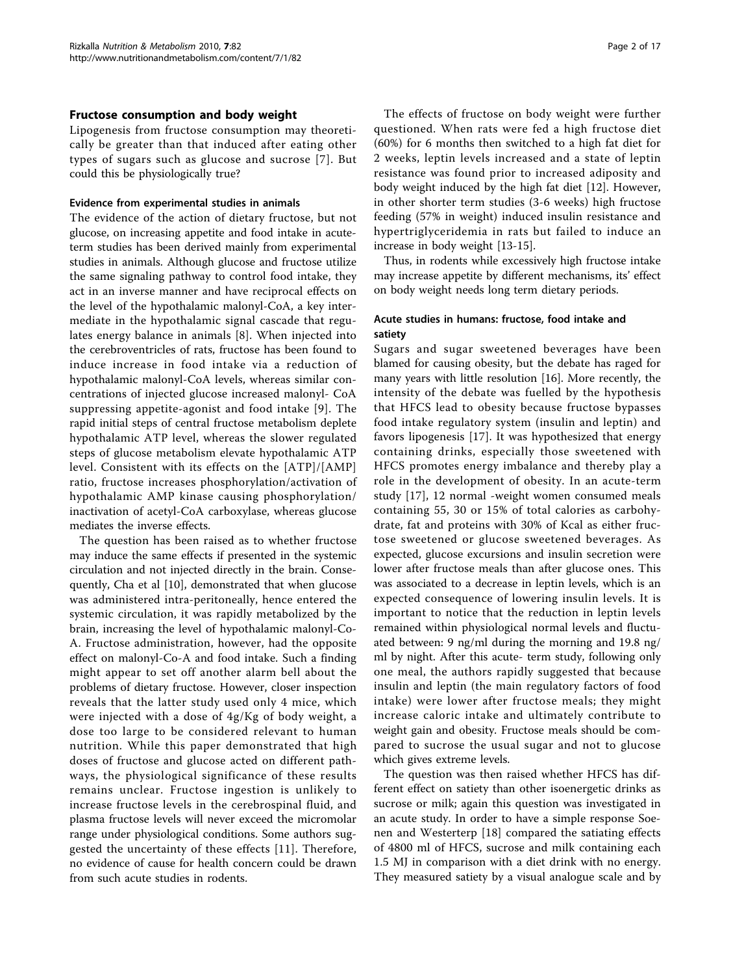#### Fructose consumption and body weight

Lipogenesis from fructose consumption may theoretically be greater than that induced after eating other types of sugars such as glucose and sucrose [[7\]](#page-13-0). But could this be physiologically true?

#### Evidence from experimental studies in animals

The evidence of the action of dietary fructose, but not glucose, on increasing appetite and food intake in acuteterm studies has been derived mainly from experimental studies in animals. Although glucose and fructose utilize the same signaling pathway to control food intake, they act in an inverse manner and have reciprocal effects on the level of the hypothalamic malonyl-CoA, a key intermediate in the hypothalamic signal cascade that regulates energy balance in animals [[8](#page-13-0)]. When injected into the cerebroventricles of rats, fructose has been found to induce increase in food intake via a reduction of hypothalamic malonyl-CoA levels, whereas similar concentrations of injected glucose increased malonyl- CoA suppressing appetite-agonist and food intake [[9](#page-13-0)]. The rapid initial steps of central fructose metabolism deplete hypothalamic ATP level, whereas the slower regulated steps of glucose metabolism elevate hypothalamic ATP level. Consistent with its effects on the [ATP]/[AMP] ratio, fructose increases phosphorylation/activation of hypothalamic AMP kinase causing phosphorylation/ inactivation of acetyl-CoA carboxylase, whereas glucose mediates the inverse effects.

The question has been raised as to whether fructose may induce the same effects if presented in the systemic circulation and not injected directly in the brain. Consequently, Cha et al [[10\]](#page-13-0), demonstrated that when glucose was administered intra-peritoneally, hence entered the systemic circulation, it was rapidly metabolized by the brain, increasing the level of hypothalamic malonyl-Co-A. Fructose administration, however, had the opposite effect on malonyl-Co-A and food intake. Such a finding might appear to set off another alarm bell about the problems of dietary fructose. However, closer inspection reveals that the latter study used only 4 mice, which were injected with a dose of 4g/Kg of body weight, a dose too large to be considered relevant to human nutrition. While this paper demonstrated that high doses of fructose and glucose acted on different pathways, the physiological significance of these results remains unclear. Fructose ingestion is unlikely to increase fructose levels in the cerebrospinal fluid, and plasma fructose levels will never exceed the micromolar range under physiological conditions. Some authors suggested the uncertainty of these effects [[11](#page-13-0)]. Therefore, no evidence of cause for health concern could be drawn from such acute studies in rodents.

The effects of fructose on body weight were further questioned. When rats were fed a high fructose diet (60%) for 6 months then switched to a high fat diet for 2 weeks, leptin levels increased and a state of leptin resistance was found prior to increased adiposity and body weight induced by the high fat diet [\[12\]](#page-13-0). However, in other shorter term studies (3-6 weeks) high fructose feeding (57% in weight) induced insulin resistance and hypertriglyceridemia in rats but failed to induce an increase in body weight [\[13-15](#page-13-0)].

Thus, in rodents while excessively high fructose intake may increase appetite by different mechanisms, its' effect on body weight needs long term dietary periods.

#### Acute studies in humans: fructose, food intake and satiety

Sugars and sugar sweetened beverages have been blamed for causing obesity, but the debate has raged for many years with little resolution [\[16](#page-13-0)]. More recently, the intensity of the debate was fuelled by the hypothesis that HFCS lead to obesity because fructose bypasses food intake regulatory system (insulin and leptin) and favors lipogenesis [[17](#page-13-0)]. It was hypothesized that energy containing drinks, especially those sweetened with HFCS promotes energy imbalance and thereby play a role in the development of obesity. In an acute-term study [[17\]](#page-13-0), 12 normal -weight women consumed meals containing 55, 30 or 15% of total calories as carbohydrate, fat and proteins with 30% of Kcal as either fructose sweetened or glucose sweetened beverages. As expected, glucose excursions and insulin secretion were lower after fructose meals than after glucose ones. This was associated to a decrease in leptin levels, which is an expected consequence of lowering insulin levels. It is important to notice that the reduction in leptin levels remained within physiological normal levels and fluctuated between: 9 ng/ml during the morning and 19.8 ng/ ml by night. After this acute- term study, following only one meal, the authors rapidly suggested that because insulin and leptin (the main regulatory factors of food intake) were lower after fructose meals; they might increase caloric intake and ultimately contribute to weight gain and obesity. Fructose meals should be compared to sucrose the usual sugar and not to glucose which gives extreme levels.

The question was then raised whether HFCS has different effect on satiety than other isoenergetic drinks as sucrose or milk; again this question was investigated in an acute study. In order to have a simple response Soenen and Westerterp [[18\]](#page-13-0) compared the satiating effects of 4800 ml of HFCS, sucrose and milk containing each 1.5 MJ in comparison with a diet drink with no energy. They measured satiety by a visual analogue scale and by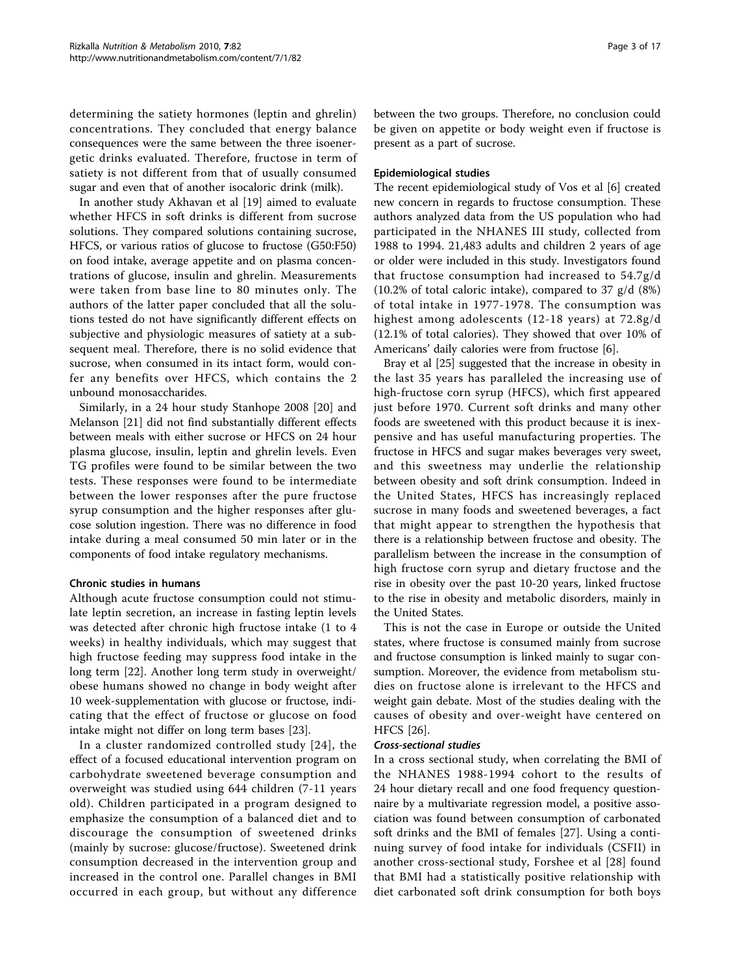determining the satiety hormones (leptin and ghrelin) concentrations. They concluded that energy balance consequences were the same between the three isoenergetic drinks evaluated. Therefore, fructose in term of satiety is not different from that of usually consumed sugar and even that of another isocaloric drink (milk).

In another study Akhavan et al [[19\]](#page-13-0) aimed to evaluate whether HFCS in soft drinks is different from sucrose solutions. They compared solutions containing sucrose, HFCS, or various ratios of glucose to fructose (G50:F50) on food intake, average appetite and on plasma concentrations of glucose, insulin and ghrelin. Measurements were taken from base line to 80 minutes only. The authors of the latter paper concluded that all the solutions tested do not have significantly different effects on subjective and physiologic measures of satiety at a subsequent meal. Therefore, there is no solid evidence that sucrose, when consumed in its intact form, would confer any benefits over HFCS, which contains the 2 unbound monosaccharides.

Similarly, in a 24 hour study Stanhope 2008 [[20\]](#page-13-0) and Melanson [\[21](#page-13-0)] did not find substantially different effects between meals with either sucrose or HFCS on 24 hour plasma glucose, insulin, leptin and ghrelin levels. Even TG profiles were found to be similar between the two tests. These responses were found to be intermediate between the lower responses after the pure fructose syrup consumption and the higher responses after glucose solution ingestion. There was no difference in food intake during a meal consumed 50 min later or in the components of food intake regulatory mechanisms.

#### Chronic studies in humans

Although acute fructose consumption could not stimulate leptin secretion, an increase in fasting leptin levels was detected after chronic high fructose intake (1 to 4 weeks) in healthy individuals, which may suggest that high fructose feeding may suppress food intake in the long term [\[22](#page-13-0)]. Another long term study in overweight/ obese humans showed no change in body weight after 10 week-supplementation with glucose or fructose, indicating that the effect of fructose or glucose on food intake might not differ on long term bases [\[23](#page-13-0)].

In a cluster randomized controlled study [\[24](#page-13-0)], the effect of a focused educational intervention program on carbohydrate sweetened beverage consumption and overweight was studied using 644 children (7-11 years old). Children participated in a program designed to emphasize the consumption of a balanced diet and to discourage the consumption of sweetened drinks (mainly by sucrose: glucose/fructose). Sweetened drink consumption decreased in the intervention group and increased in the control one. Parallel changes in BMI occurred in each group, but without any difference between the two groups. Therefore, no conclusion could be given on appetite or body weight even if fructose is present as a part of sucrose.

#### Epidemiological studies

The recent epidemiological study of Vos et al [[6\]](#page-13-0) created new concern in regards to fructose consumption. These authors analyzed data from the US population who had participated in the NHANES III study, collected from 1988 to 1994. 21,483 adults and children 2 years of age or older were included in this study. Investigators found that fructose consumption had increased to 54.7g/d (10.2% of total caloric intake), compared to 37  $g/d$  (8%) of total intake in 1977-1978. The consumption was highest among adolescents (12-18 years) at 72.8g/d (12.1% of total calories). They showed that over 10% of Americans' daily calories were from fructose [\[6\]](#page-13-0).

Bray et al [\[25\]](#page-13-0) suggested that the increase in obesity in the last 35 years has paralleled the increasing use of high-fructose corn syrup (HFCS), which first appeared just before 1970. Current soft drinks and many other foods are sweetened with this product because it is inexpensive and has useful manufacturing properties. The fructose in HFCS and sugar makes beverages very sweet, and this sweetness may underlie the relationship between obesity and soft drink consumption. Indeed in the United States, HFCS has increasingly replaced sucrose in many foods and sweetened beverages, a fact that might appear to strengthen the hypothesis that there is a relationship between fructose and obesity. The parallelism between the increase in the consumption of high fructose corn syrup and dietary fructose and the rise in obesity over the past 10-20 years, linked fructose to the rise in obesity and metabolic disorders, mainly in the United States.

This is not the case in Europe or outside the United states, where fructose is consumed mainly from sucrose and fructose consumption is linked mainly to sugar consumption. Moreover, the evidence from metabolism studies on fructose alone is irrelevant to the HFCS and weight gain debate. Most of the studies dealing with the causes of obesity and over-weight have centered on HFCS [\[26](#page-13-0)].

#### Cross-sectional studies

In a cross sectional study, when correlating the BMI of the NHANES 1988-1994 cohort to the results of 24 hour dietary recall and one food frequency questionnaire by a multivariate regression model, a positive association was found between consumption of carbonated soft drinks and the BMI of females [[27\]](#page-13-0). Using a continuing survey of food intake for individuals (CSFII) in another cross-sectional study, Forshee et al [[28](#page-13-0)] found that BMI had a statistically positive relationship with diet carbonated soft drink consumption for both boys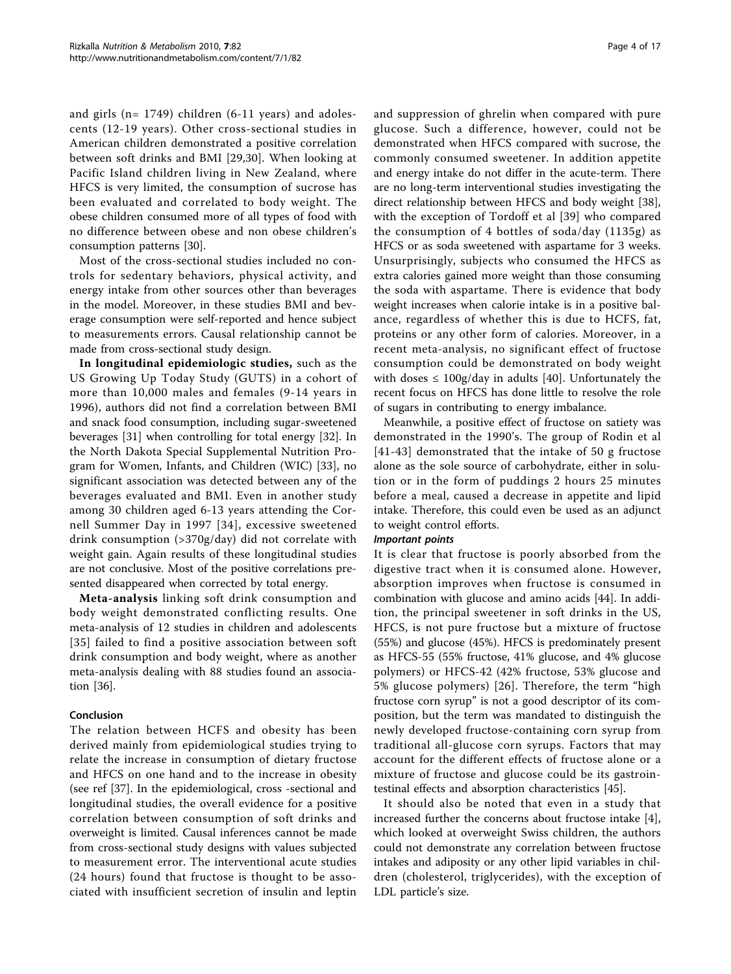and girls (n= 1749) children (6-11 years) and adolescents (12-19 years). Other cross-sectional studies in American children demonstrated a positive correlation between soft drinks and BMI [[29,30](#page-13-0)]. When looking at Pacific Island children living in New Zealand, where HFCS is very limited, the consumption of sucrose has been evaluated and correlated to body weight. The obese children consumed more of all types of food with no difference between obese and non obese children's consumption patterns [[30\]](#page-13-0).

Most of the cross-sectional studies included no controls for sedentary behaviors, physical activity, and energy intake from other sources other than beverages in the model. Moreover, in these studies BMI and beverage consumption were self-reported and hence subject to measurements errors. Causal relationship cannot be made from cross-sectional study design.

In longitudinal epidemiologic studies, such as the US Growing Up Today Study (GUTS) in a cohort of more than 10,000 males and females (9-14 years in 1996), authors did not find a correlation between BMI and snack food consumption, including sugar-sweetened beverages [[31\]](#page-13-0) when controlling for total energy [\[32](#page-13-0)]. In the North Dakota Special Supplemental Nutrition Program for Women, Infants, and Children (WIC) [\[33](#page-13-0)], no significant association was detected between any of the beverages evaluated and BMI. Even in another study among 30 children aged 6-13 years attending the Cornell Summer Day in 1997 [[34\]](#page-13-0), excessive sweetened drink consumption (>370g/day) did not correlate with weight gain. Again results of these longitudinal studies are not conclusive. Most of the positive correlations presented disappeared when corrected by total energy.

Meta-analysis linking soft drink consumption and body weight demonstrated conflicting results. One meta-analysis of 12 studies in children and adolescents [[35\]](#page-13-0) failed to find a positive association between soft drink consumption and body weight, where as another meta-analysis dealing with 88 studies found an association [\[36](#page-13-0)].

#### Conclusion

The relation between HCFS and obesity has been derived mainly from epidemiological studies trying to relate the increase in consumption of dietary fructose and HFCS on one hand and to the increase in obesity (see ref [\[37\]](#page-13-0). In the epidemiological, cross -sectional and longitudinal studies, the overall evidence for a positive correlation between consumption of soft drinks and overweight is limited. Causal inferences cannot be made from cross-sectional study designs with values subjected to measurement error. The interventional acute studies (24 hours) found that fructose is thought to be associated with insufficient secretion of insulin and leptin and suppression of ghrelin when compared with pure glucose. Such a difference, however, could not be demonstrated when HFCS compared with sucrose, the commonly consumed sweetener. In addition appetite and energy intake do not differ in the acute-term. There are no long-term interventional studies investigating the direct relationship between HFCS and body weight [\[38](#page-13-0)], with the exception of Tordoff et al [\[39](#page-13-0)] who compared the consumption of 4 bottles of soda/day (1135g) as HFCS or as soda sweetened with aspartame for 3 weeks. Unsurprisingly, subjects who consumed the HFCS as extra calories gained more weight than those consuming the soda with aspartame. There is evidence that body weight increases when calorie intake is in a positive balance, regardless of whether this is due to HCFS, fat, proteins or any other form of calories. Moreover, in a recent meta-analysis, no significant effect of fructose consumption could be demonstrated on body weight with doses  $\leq 100$ g/day in adults [\[40](#page-13-0)]. Unfortunately the recent focus on HFCS has done little to resolve the role of sugars in contributing to energy imbalance.

Meanwhile, a positive effect of fructose on satiety was demonstrated in the 1990's. The group of Rodin et al [[41-43\]](#page-13-0) demonstrated that the intake of 50 g fructose alone as the sole source of carbohydrate, either in solution or in the form of puddings 2 hours 25 minutes before a meal, caused a decrease in appetite and lipid intake. Therefore, this could even be used as an adjunct to weight control efforts.

#### Important points

It is clear that fructose is poorly absorbed from the digestive tract when it is consumed alone. However, absorption improves when fructose is consumed in combination with glucose and amino acids [\[44](#page-13-0)]. In addition, the principal sweetener in soft drinks in the US, HFCS, is not pure fructose but a mixture of fructose (55%) and glucose (45%). HFCS is predominately present as HFCS-55 (55% fructose, 41% glucose, and 4% glucose polymers) or HFCS-42 (42% fructose, 53% glucose and 5% glucose polymers) [[26\]](#page-13-0). Therefore, the term "high fructose corn syrup" is not a good descriptor of its composition, but the term was mandated to distinguish the newly developed fructose-containing corn syrup from traditional all-glucose corn syrups. Factors that may account for the different effects of fructose alone or a mixture of fructose and glucose could be its gastrointestinal effects and absorption characteristics [\[45\]](#page-13-0).

It should also be noted that even in a study that increased further the concerns about fructose intake [\[4](#page-12-0)], which looked at overweight Swiss children, the authors could not demonstrate any correlation between fructose intakes and adiposity or any other lipid variables in children (cholesterol, triglycerides), with the exception of LDL particle's size.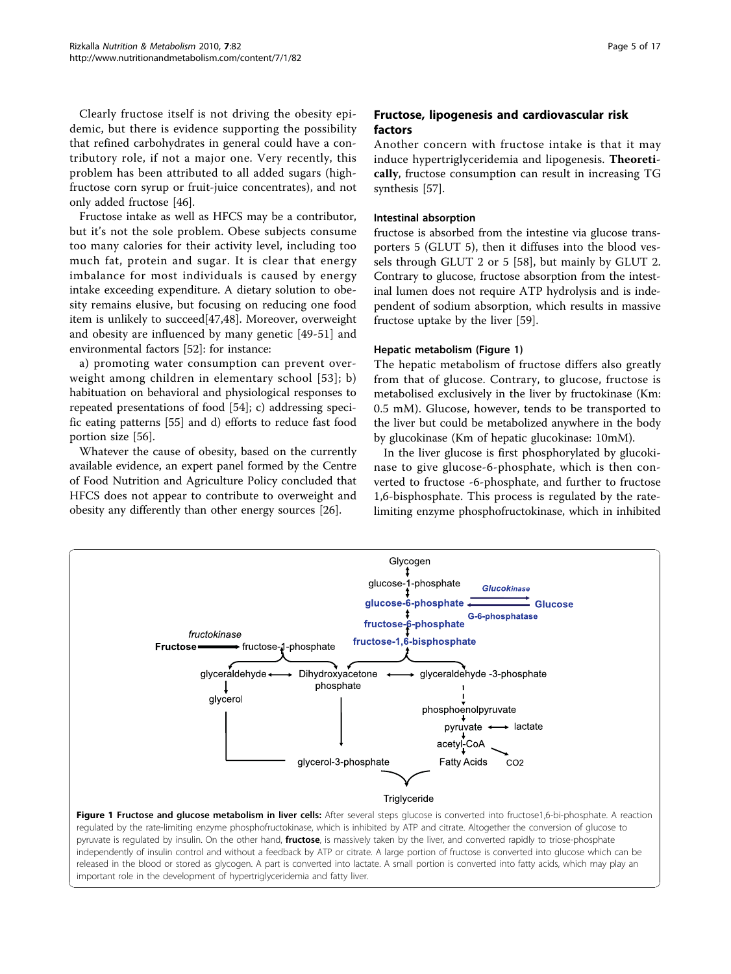Clearly fructose itself is not driving the obesity epidemic, but there is evidence supporting the possibility that refined carbohydrates in general could have a contributory role, if not a major one. Very recently, this problem has been attributed to all added sugars (highfructose corn syrup or fruit-juice concentrates), and not only added fructose [[46\]](#page-13-0).

Fructose intake as well as HFCS may be a contributor, but it's not the sole problem. Obese subjects consume too many calories for their activity level, including too much fat, protein and sugar. It is clear that energy imbalance for most individuals is caused by energy intake exceeding expenditure. A dietary solution to obesity remains elusive, but focusing on reducing one food item is unlikely to succeed[\[47,48\]](#page-13-0). Moreover, overweight and obesity are influenced by many genetic [\[49](#page-13-0)-[51\]](#page-13-0) and environmental factors [[52](#page-13-0)]: for instance:

a) promoting water consumption can prevent overweight among children in elementary school [[53](#page-14-0)]; b) habituation on behavioral and physiological responses to repeated presentations of food [[54\]](#page-14-0); c) addressing specific eating patterns [\[55](#page-14-0)] and d) efforts to reduce fast food portion size [\[56](#page-14-0)].

Whatever the cause of obesity, based on the currently available evidence, an expert panel formed by the Centre of Food Nutrition and Agriculture Policy concluded that HFCS does not appear to contribute to overweight and obesity any differently than other energy sources [\[26](#page-13-0)].

## Fructose, lipogenesis and cardiovascular risk factors

Another concern with fructose intake is that it may induce hypertriglyceridemia and lipogenesis. Theoretically, fructose consumption can result in increasing TG synthesis [[57](#page-14-0)].

#### Intestinal absorption

fructose is absorbed from the intestine via glucose transporters 5 (GLUT 5), then it diffuses into the blood vessels through GLUT 2 or 5 [\[58](#page-14-0)], but mainly by GLUT 2. Contrary to glucose, fructose absorption from the intestinal lumen does not require ATP hydrolysis and is independent of sodium absorption, which results in massive fructose uptake by the liver [[59\]](#page-14-0).

#### Hepatic metabolism (Figure 1)

The hepatic metabolism of fructose differs also greatly from that of glucose. Contrary, to glucose, fructose is metabolised exclusively in the liver by fructokinase (Km: 0.5 mM). Glucose, however, tends to be transported to the liver but could be metabolized anywhere in the body by glucokinase (Km of hepatic glucokinase: 10mM).

In the liver glucose is first phosphorylated by glucokinase to give glucose-6-phosphate, which is then converted to fructose -6-phosphate, and further to fructose 1,6-bisphosphate. This process is regulated by the ratelimiting enzyme phosphofructokinase, which in inhibited

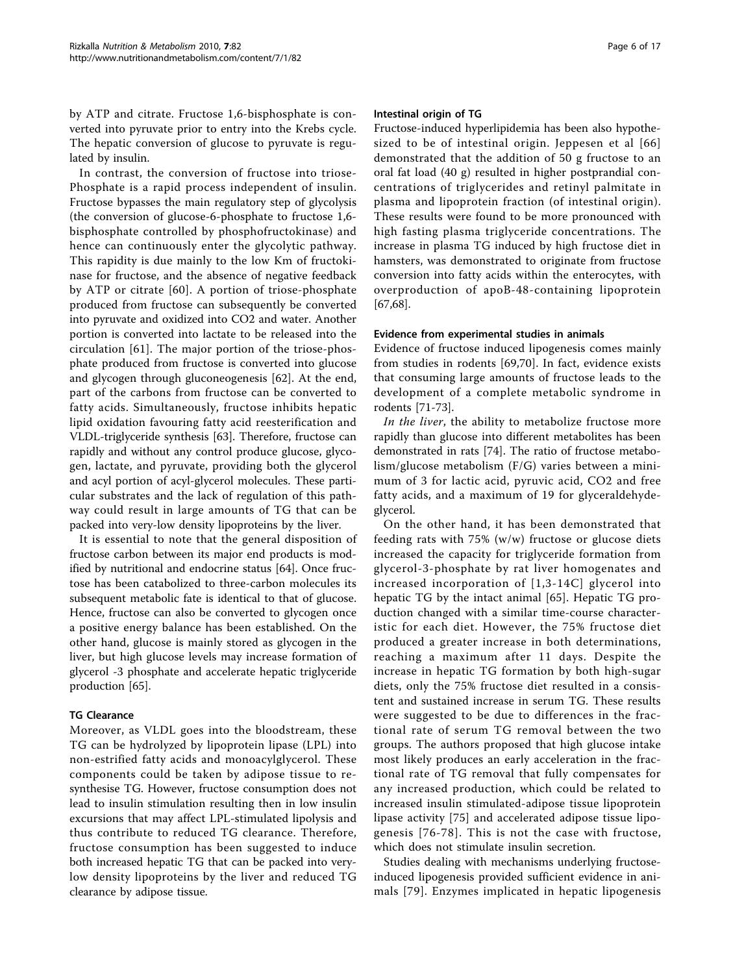by ATP and citrate. Fructose 1,6-bisphosphate is converted into pyruvate prior to entry into the Krebs cycle. The hepatic conversion of glucose to pyruvate is regulated by insulin.

In contrast, the conversion of fructose into triose-Phosphate is a rapid process independent of insulin. Fructose bypasses the main regulatory step of glycolysis (the conversion of glucose-6-phosphate to fructose 1,6 bisphosphate controlled by phosphofructokinase) and hence can continuously enter the glycolytic pathway. This rapidity is due mainly to the low Km of fructokinase for fructose, and the absence of negative feedback by ATP or citrate [[60](#page-14-0)]. A portion of triose-phosphate produced from fructose can subsequently be converted into pyruvate and oxidized into CO2 and water. Another portion is converted into lactate to be released into the circulation [[61\]](#page-14-0). The major portion of the triose-phosphate produced from fructose is converted into glucose and glycogen through gluconeogenesis [[62](#page-14-0)]. At the end, part of the carbons from fructose can be converted to fatty acids. Simultaneously, fructose inhibits hepatic lipid oxidation favouring fatty acid reesterification and VLDL-triglyceride synthesis [[63](#page-14-0)]. Therefore, fructose can rapidly and without any control produce glucose, glycogen, lactate, and pyruvate, providing both the glycerol and acyl portion of acyl-glycerol molecules. These particular substrates and the lack of regulation of this pathway could result in large amounts of TG that can be packed into very-low density lipoproteins by the liver.

It is essential to note that the general disposition of fructose carbon between its major end products is modified by nutritional and endocrine status [[64](#page-14-0)]. Once fructose has been catabolized to three-carbon molecules its subsequent metabolic fate is identical to that of glucose. Hence, fructose can also be converted to glycogen once a positive energy balance has been established. On the other hand, glucose is mainly stored as glycogen in the liver, but high glucose levels may increase formation of glycerol -3 phosphate and accelerate hepatic triglyceride production [\[65\]](#page-14-0).

#### TG Clearance

Moreover, as VLDL goes into the bloodstream, these TG can be hydrolyzed by lipoprotein lipase (LPL) into non-estrified fatty acids and monoacylglycerol. These components could be taken by adipose tissue to resynthesise TG. However, fructose consumption does not lead to insulin stimulation resulting then in low insulin excursions that may affect LPL-stimulated lipolysis and thus contribute to reduced TG clearance. Therefore, fructose consumption has been suggested to induce both increased hepatic TG that can be packed into verylow density lipoproteins by the liver and reduced TG clearance by adipose tissue.

#### Intestinal origin of TG

Fructose-induced hyperlipidemia has been also hypothesized to be of intestinal origin. Jeppesen et al [[66](#page-14-0)] demonstrated that the addition of 50 g fructose to an oral fat load (40 g) resulted in higher postprandial concentrations of triglycerides and retinyl palmitate in plasma and lipoprotein fraction (of intestinal origin). These results were found to be more pronounced with high fasting plasma triglyceride concentrations. The increase in plasma TG induced by high fructose diet in hamsters, was demonstrated to originate from fructose conversion into fatty acids within the enterocytes, with overproduction of apoB-48-containing lipoprotein [[67,68\]](#page-14-0).

#### Evidence from experimental studies in animals

Evidence of fructose induced lipogenesis comes mainly from studies in rodents [[69,70](#page-14-0)]. In fact, evidence exists that consuming large amounts of fructose leads to the development of a complete metabolic syndrome in rodents [[71-73\]](#page-14-0).

In the liver, the ability to metabolize fructose more rapidly than glucose into different metabolites has been demonstrated in rats [[74\]](#page-14-0). The ratio of fructose metabolism/glucose metabolism (F/G) varies between a minimum of 3 for lactic acid, pyruvic acid, CO2 and free fatty acids, and a maximum of 19 for glyceraldehydeglycerol.

On the other hand, it has been demonstrated that feeding rats with 75% (w/w) fructose or glucose diets increased the capacity for triglyceride formation from glycerol-3-phosphate by rat liver homogenates and increased incorporation of [1,3-14C] glycerol into hepatic TG by the intact animal [[65](#page-14-0)]. Hepatic TG production changed with a similar time-course characteristic for each diet. However, the 75% fructose diet produced a greater increase in both determinations, reaching a maximum after 11 days. Despite the increase in hepatic TG formation by both high-sugar diets, only the 75% fructose diet resulted in a consistent and sustained increase in serum TG. These results were suggested to be due to differences in the fractional rate of serum TG removal between the two groups. The authors proposed that high glucose intake most likely produces an early acceleration in the fractional rate of TG removal that fully compensates for any increased production, which could be related to increased insulin stimulated-adipose tissue lipoprotein lipase activity [\[75\]](#page-14-0) and accelerated adipose tissue lipogenesis [[76-78](#page-14-0)]. This is not the case with fructose, which does not stimulate insulin secretion.

Studies dealing with mechanisms underlying fructoseinduced lipogenesis provided sufficient evidence in animals [[79](#page-14-0)]. Enzymes implicated in hepatic lipogenesis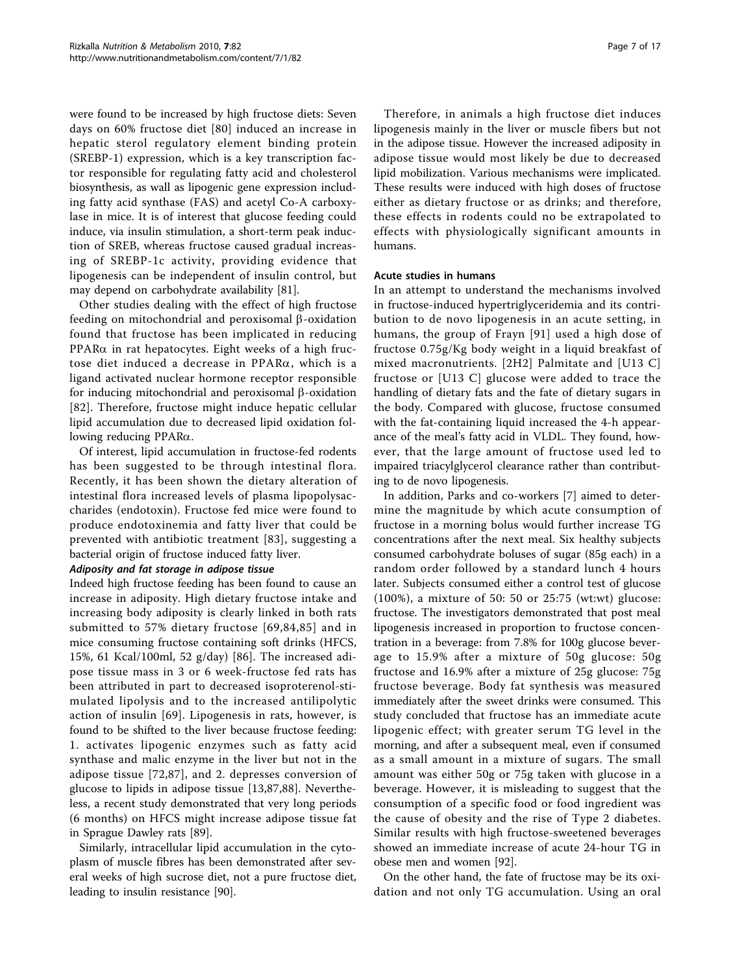were found to be increased by high fructose diets: Seven days on 60% fructose diet [\[80\]](#page-14-0) induced an increase in hepatic sterol regulatory element binding protein (SREBP-1) expression, which is a key transcription factor responsible for regulating fatty acid and cholesterol biosynthesis, as wall as lipogenic gene expression including fatty acid synthase (FAS) and acetyl Co-A carboxylase in mice. It is of interest that glucose feeding could induce, via insulin stimulation, a short-term peak induction of SREB, whereas fructose caused gradual increasing of SREBP-1c activity, providing evidence that lipogenesis can be independent of insulin control, but may depend on carbohydrate availability [\[81\]](#page-14-0).

Other studies dealing with the effect of high fructose feeding on mitochondrial and peroxisomal  $\beta$ -oxidation found that fructose has been implicated in reducing  $PPAR\alpha$  in rat hepatocytes. Eight weeks of a high fructose diet induced a decrease in  $PPAR\alpha$ , which is a ligand activated nuclear hormone receptor responsible for inducing mitochondrial and peroxisomal  $\beta$ -oxidation [[82](#page-14-0)]. Therefore, fructose might induce hepatic cellular lipid accumulation due to decreased lipid oxidation following reducing  $PPAR\alpha$ .

Of interest, lipid accumulation in fructose-fed rodents has been suggested to be through intestinal flora. Recently, it has been shown the dietary alteration of intestinal flora increased levels of plasma lipopolysaccharides (endotoxin). Fructose fed mice were found to produce endotoxinemia and fatty liver that could be prevented with antibiotic treatment [[83](#page-14-0)], suggesting a bacterial origin of fructose induced fatty liver.

#### Adiposity and fat storage in adipose tissue

Indeed high fructose feeding has been found to cause an increase in adiposity. High dietary fructose intake and increasing body adiposity is clearly linked in both rats submitted to 57% dietary fructose [[69](#page-14-0),[84,85\]](#page-14-0) and in mice consuming fructose containing soft drinks (HFCS, 15%, 61 Kcal/100ml, 52 g/day) [[86\]](#page-14-0). The increased adipose tissue mass in 3 or 6 week-fructose fed rats has been attributed in part to decreased isoproterenol-stimulated lipolysis and to the increased antilipolytic action of insulin [[69](#page-14-0)]. Lipogenesis in rats, however, is found to be shifted to the liver because fructose feeding: 1. activates lipogenic enzymes such as fatty acid synthase and malic enzyme in the liver but not in the adipose tissue [[72,87](#page-14-0)], and 2. depresses conversion of glucose to lipids in adipose tissue [\[13](#page-13-0),[87,88\]](#page-14-0). Nevertheless, a recent study demonstrated that very long periods (6 months) on HFCS might increase adipose tissue fat in Sprague Dawley rats [[89\]](#page-14-0).

Similarly, intracellular lipid accumulation in the cytoplasm of muscle fibres has been demonstrated after several weeks of high sucrose diet, not a pure fructose diet, leading to insulin resistance [\[90](#page-14-0)].

Therefore, in animals a high fructose diet induces lipogenesis mainly in the liver or muscle fibers but not in the adipose tissue. However the increased adiposity in adipose tissue would most likely be due to decreased lipid mobilization. Various mechanisms were implicated. These results were induced with high doses of fructose either as dietary fructose or as drinks; and therefore, these effects in rodents could no be extrapolated to effects with physiologically significant amounts in humans.

#### Acute studies in humans

In an attempt to understand the mechanisms involved in fructose-induced hypertriglyceridemia and its contribution to de novo lipogenesis in an acute setting, in humans, the group of Frayn [[91](#page-14-0)] used a high dose of fructose 0.75g/Kg body weight in a liquid breakfast of mixed macronutrients. [2H2] Palmitate and [U13 C] fructose or [U13 C] glucose were added to trace the handling of dietary fats and the fate of dietary sugars in the body. Compared with glucose, fructose consumed with the fat-containing liquid increased the 4-h appearance of the meal's fatty acid in VLDL. They found, however, that the large amount of fructose used led to impaired triacylglycerol clearance rather than contributing to de novo lipogenesis.

In addition, Parks and co-workers [[7\]](#page-13-0) aimed to determine the magnitude by which acute consumption of fructose in a morning bolus would further increase TG concentrations after the next meal. Six healthy subjects consumed carbohydrate boluses of sugar (85g each) in a random order followed by a standard lunch 4 hours later. Subjects consumed either a control test of glucose (100%), a mixture of 50: 50 or 25:75 (wt:wt) glucose: fructose. The investigators demonstrated that post meal lipogenesis increased in proportion to fructose concentration in a beverage: from 7.8% for 100g glucose beverage to 15.9% after a mixture of 50g glucose: 50g fructose and 16.9% after a mixture of 25g glucose: 75g fructose beverage. Body fat synthesis was measured immediately after the sweet drinks were consumed. This study concluded that fructose has an immediate acute lipogenic effect; with greater serum TG level in the morning, and after a subsequent meal, even if consumed as a small amount in a mixture of sugars. The small amount was either 50g or 75g taken with glucose in a beverage. However, it is misleading to suggest that the consumption of a specific food or food ingredient was the cause of obesity and the rise of Type 2 diabetes. Similar results with high fructose-sweetened beverages showed an immediate increase of acute 24-hour TG in obese men and women [\[92\]](#page-14-0).

On the other hand, the fate of fructose may be its oxidation and not only TG accumulation. Using an oral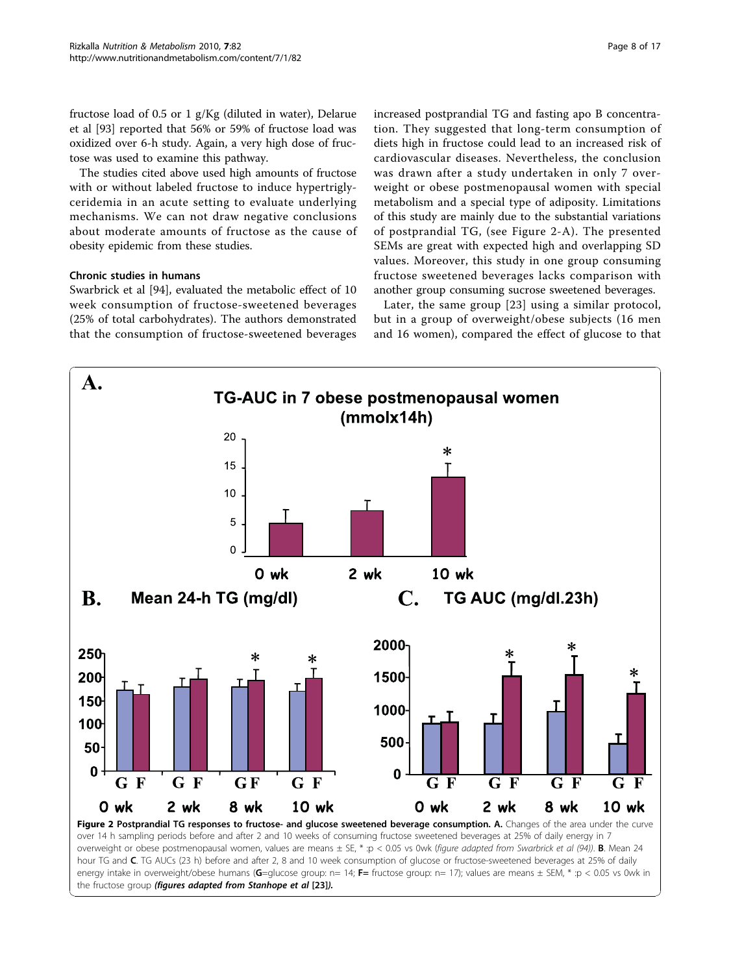<span id="page-7-0"></span>fructose load of 0.5 or 1 g/Kg (diluted in water), Delarue et al [\[93\]](#page-14-0) reported that 56% or 59% of fructose load was oxidized over 6-h study. Again, a very high dose of fructose was used to examine this pathway.

The studies cited above used high amounts of fructose with or without labeled fructose to induce hypertriglyceridemia in an acute setting to evaluate underlying mechanisms. We can not draw negative conclusions about moderate amounts of fructose as the cause of obesity epidemic from these studies.

#### Chronic studies in humans

Swarbrick et al [[94\]](#page-14-0), evaluated the metabolic effect of 10 week consumption of fructose-sweetened beverages (25% of total carbohydrates). The authors demonstrated that the consumption of fructose-sweetened beverages increased postprandial TG and fasting apo B concentration. They suggested that long-term consumption of diets high in fructose could lead to an increased risk of cardiovascular diseases. Nevertheless, the conclusion was drawn after a study undertaken in only 7 overweight or obese postmenopausal women with special metabolism and a special type of adiposity. Limitations of this study are mainly due to the substantial variations of postprandial TG, (see Figure 2-A). The presented SEMs are great with expected high and overlapping SD values. Moreover, this study in one group consuming fructose sweetened beverages lacks comparison with another group consuming sucrose sweetened beverages.

Later, the same group [\[23\]](#page-13-0) using a similar protocol, but in a group of overweight/obese subjects (16 men and 16 women), compared the effect of glucose to that



energy intake in overweight/obese humans (G=glucose group: n= 14; F= fructose group: n= 17); values are means ± SEM, \* :p < 0.05 vs 0wk in the fructose group (figures adapted from Stanhope et al [[23](#page-13-0)]).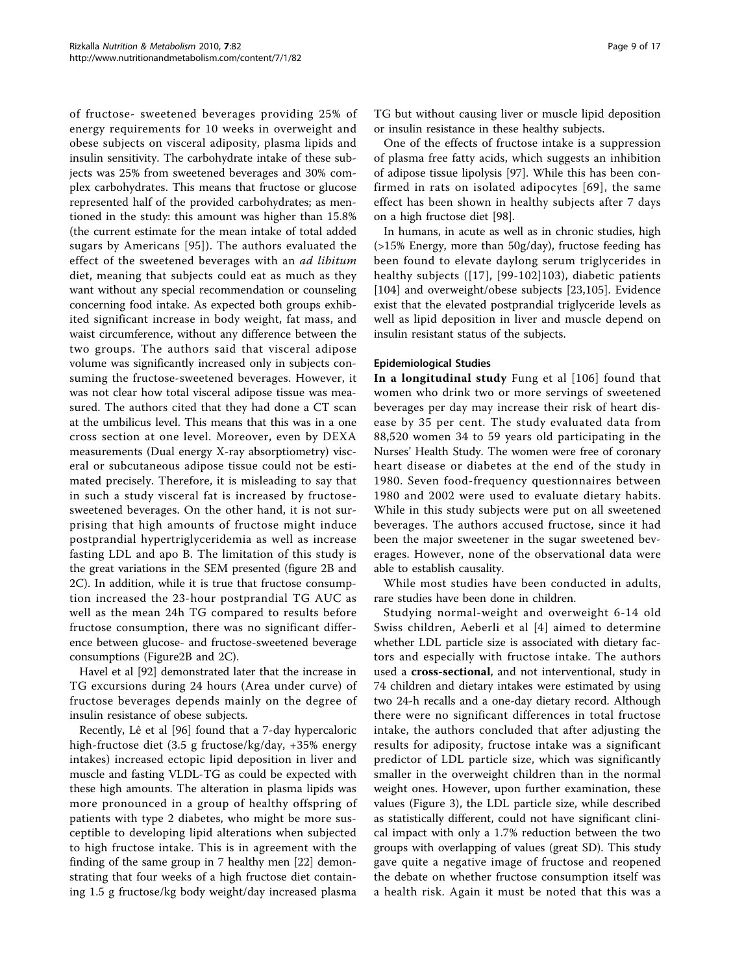of fructose- sweetened beverages providing 25% of energy requirements for 10 weeks in overweight and obese subjects on visceral adiposity, plasma lipids and insulin sensitivity. The carbohydrate intake of these subjects was 25% from sweetened beverages and 30% complex carbohydrates. This means that fructose or glucose represented half of the provided carbohydrates; as mentioned in the study: this amount was higher than 15.8% (the current estimate for the mean intake of total added sugars by Americans [[95\]](#page-14-0)). The authors evaluated the effect of the sweetened beverages with an *ad libitum* diet, meaning that subjects could eat as much as they want without any special recommendation or counseling concerning food intake. As expected both groups exhibited significant increase in body weight, fat mass, and waist circumference, without any difference between the two groups. The authors said that visceral adipose volume was significantly increased only in subjects consuming the fructose-sweetened beverages. However, it was not clear how total visceral adipose tissue was measured. The authors cited that they had done a CT scan at the umbilicus level. This means that this was in a one cross section at one level. Moreover, even by DEXA measurements (Dual energy X-ray absorptiometry) visceral or subcutaneous adipose tissue could not be estimated precisely. Therefore, it is misleading to say that in such a study visceral fat is increased by fructosesweetened beverages. On the other hand, it is not surprising that high amounts of fructose might induce postprandial hypertriglyceridemia as well as increase fasting LDL and apo B. The limitation of this study is the great variations in the SEM presented (figure [2B](#page-7-0) and [2C](#page-7-0)). In addition, while it is true that fructose consumption increased the 23-hour postprandial TG AUC as well as the mean 24h TG compared to results before fructose consumption, there was no significant difference between glucose- and fructose-sweetened beverage consumptions (Figure[2B](#page-7-0) and [2C](#page-7-0)).

Havel et al [\[92\]](#page-14-0) demonstrated later that the increase in TG excursions during 24 hours (Area under curve) of fructose beverages depends mainly on the degree of insulin resistance of obese subjects.

Recently, Lê et al [\[96\]](#page-14-0) found that a 7-day hypercaloric high-fructose diet (3.5 g fructose/kg/day, +35% energy intakes) increased ectopic lipid deposition in liver and muscle and fasting VLDL-TG as could be expected with these high amounts. The alteration in plasma lipids was more pronounced in a group of healthy offspring of patients with type 2 diabetes, who might be more susceptible to developing lipid alterations when subjected to high fructose intake. This is in agreement with the finding of the same group in 7 healthy men [[22](#page-13-0)] demonstrating that four weeks of a high fructose diet containing 1.5 g fructose/kg body weight/day increased plasma TG but without causing liver or muscle lipid deposition or insulin resistance in these healthy subjects.

One of the effects of fructose intake is a suppression of plasma free fatty acids, which suggests an inhibition of adipose tissue lipolysis [[97\]](#page-14-0). While this has been confirmed in rats on isolated adipocytes [[69\]](#page-14-0), the same effect has been shown in healthy subjects after 7 days on a high fructose diet [[98](#page-14-0)].

In humans, in acute as well as in chronic studies, high (>15% Energy, more than 50g/day), fructose feeding has been found to elevate daylong serum triglycerides in healthy subjects ([[17](#page-13-0)], [\[99-102](#page-15-0)][103](#page-15-0)), diabetic patients [[104](#page-15-0)] and overweight/obese subjects [[23](#page-13-0)[,105](#page-15-0)]. Evidence exist that the elevated postprandial triglyceride levels as well as lipid deposition in liver and muscle depend on insulin resistant status of the subjects.

#### Epidemiological Studies

In a longitudinal study Fung et al [[106](#page-15-0)] found that women who drink two or more servings of sweetened beverages per day may increase their risk of heart disease by 35 per cent. The study evaluated data from 88,520 women 34 to 59 years old participating in the Nurses' Health Study. The women were free of coronary heart disease or diabetes at the end of the study in 1980. Seven food-frequency questionnaires between 1980 and 2002 were used to evaluate dietary habits. While in this study subjects were put on all sweetened beverages. The authors accused fructose, since it had been the major sweetener in the sugar sweetened beverages. However, none of the observational data were able to establish causality.

While most studies have been conducted in adults, rare studies have been done in children.

Studying normal-weight and overweight 6-14 old Swiss children, Aeberli et al [\[4\]](#page-12-0) aimed to determine whether LDL particle size is associated with dietary factors and especially with fructose intake. The authors used a cross-sectional, and not interventional, study in 74 children and dietary intakes were estimated by using two 24-h recalls and a one-day dietary record. Although there were no significant differences in total fructose intake, the authors concluded that after adjusting the results for adiposity, fructose intake was a significant predictor of LDL particle size, which was significantly smaller in the overweight children than in the normal weight ones. However, upon further examination, these values (Figure [3](#page-9-0)), the LDL particle size, while described as statistically different, could not have significant clinical impact with only a 1.7% reduction between the two groups with overlapping of values (great SD). This study gave quite a negative image of fructose and reopened the debate on whether fructose consumption itself was a health risk. Again it must be noted that this was a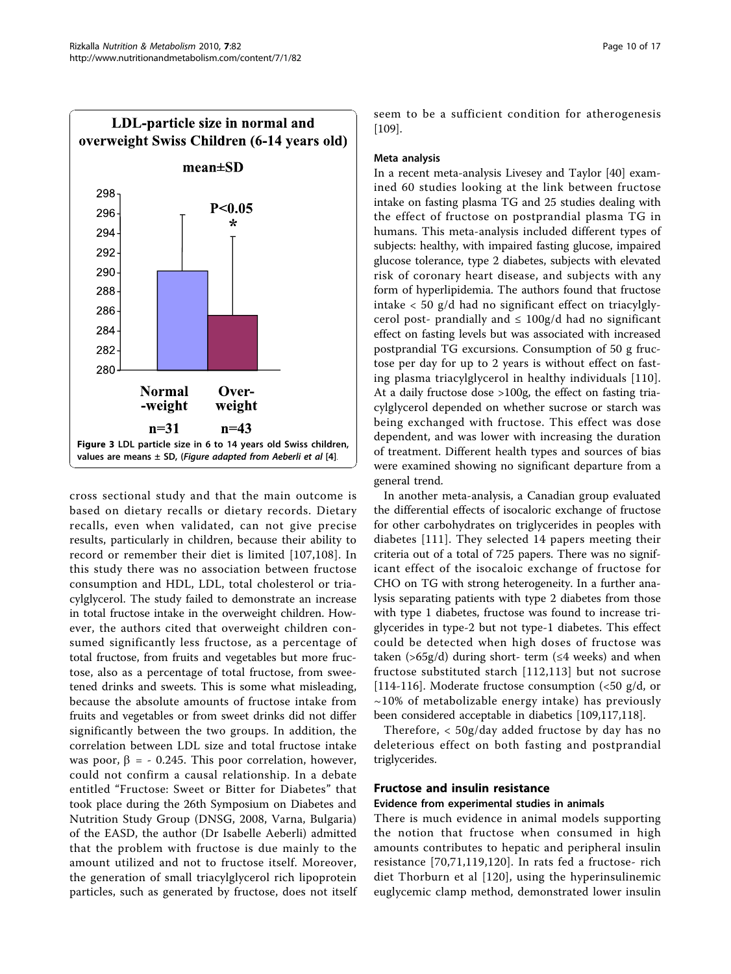<span id="page-9-0"></span>

cross sectional study and that the main outcome is based on dietary recalls or dietary records. Dietary recalls, even when validated, can not give precise results, particularly in children, because their ability to record or remember their diet is limited [\[107,108](#page-15-0)]. In this study there was no association between fructose consumption and HDL, LDL, total cholesterol or triacylglycerol. The study failed to demonstrate an increase in total fructose intake in the overweight children. However, the authors cited that overweight children consumed significantly less fructose, as a percentage of total fructose, from fruits and vegetables but more fructose, also as a percentage of total fructose, from sweetened drinks and sweets. This is some what misleading, because the absolute amounts of fructose intake from fruits and vegetables or from sweet drinks did not differ significantly between the two groups. In addition, the correlation between LDL size and total fructose intake was poor,  $\beta$  = - 0.245. This poor correlation, however, could not confirm a causal relationship. In a debate entitled "Fructose: Sweet or Bitter for Diabetes" that took place during the 26th Symposium on Diabetes and Nutrition Study Group (DNSG, 2008, Varna, Bulgaria) of the EASD, the author (Dr Isabelle Aeberli) admitted that the problem with fructose is due mainly to the amount utilized and not to fructose itself. Moreover, the generation of small triacylglycerol rich lipoprotein particles, such as generated by fructose, does not itself seem to be a sufficient condition for atherogenesis [[109\]](#page-15-0).

#### Meta analysis

In a recent meta-analysis Livesey and Taylor [[40\]](#page-13-0) examined 60 studies looking at the link between fructose intake on fasting plasma TG and 25 studies dealing with the effect of fructose on postprandial plasma TG in humans. This meta-analysis included different types of subjects: healthy, with impaired fasting glucose, impaired glucose tolerance, type 2 diabetes, subjects with elevated risk of coronary heart disease, and subjects with any form of hyperlipidemia. The authors found that fructose intake < 50 g/d had no significant effect on triacylglycerol post- prandially and  $\leq 100g/d$  had no significant effect on fasting levels but was associated with increased postprandial TG excursions. Consumption of 50 g fructose per day for up to 2 years is without effect on fasting plasma triacylglycerol in healthy individuals [[110](#page-15-0)]. At a daily fructose dose >100g, the effect on fasting triacylglycerol depended on whether sucrose or starch was being exchanged with fructose. This effect was dose dependent, and was lower with increasing the duration of treatment. Different health types and sources of bias were examined showing no significant departure from a general trend.

In another meta-analysis, a Canadian group evaluated the differential effects of isocaloric exchange of fructose for other carbohydrates on triglycerides in peoples with diabetes [[111](#page-15-0)]. They selected 14 papers meeting their criteria out of a total of 725 papers. There was no significant effect of the isocaloic exchange of fructose for CHO on TG with strong heterogeneity. In a further analysis separating patients with type 2 diabetes from those with type 1 diabetes, fructose was found to increase triglycerides in type-2 but not type-1 diabetes. This effect could be detected when high doses of fructose was taken (>65g/d) during short- term ( $\leq 4$  weeks) and when fructose substituted starch [[112,113\]](#page-15-0) but not sucrose [[114-116\]](#page-15-0). Moderate fructose consumption  $\left( < 50 \right)$  g/d, or  $\sim$ 10% of metabolizable energy intake) has previously been considered acceptable in diabetics [[109](#page-15-0),[117,118](#page-15-0)].

Therefore, < 50g/day added fructose by day has no deleterious effect on both fasting and postprandial triglycerides.

#### Fructose and insulin resistance

#### Evidence from experimental studies in animals

There is much evidence in animal models supporting the notion that fructose when consumed in high amounts contributes to hepatic and peripheral insulin resistance [[70,71](#page-14-0),[119](#page-15-0),[120\]](#page-15-0). In rats fed a fructose- rich diet Thorburn et al [\[120\]](#page-15-0), using the hyperinsulinemic euglycemic clamp method, demonstrated lower insulin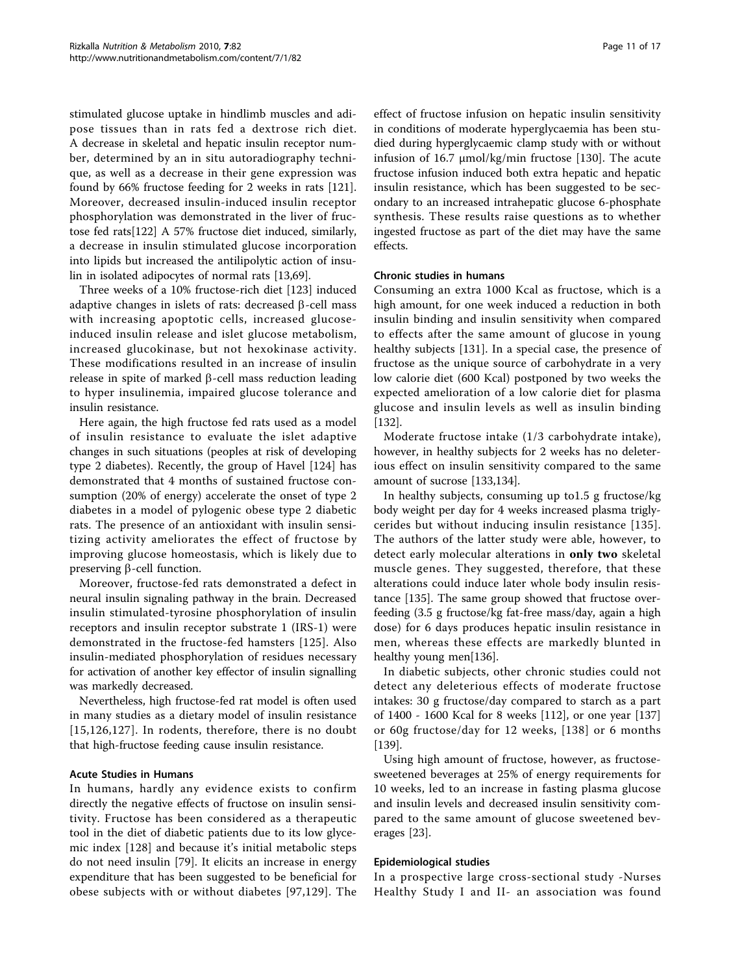stimulated glucose uptake in hindlimb muscles and adipose tissues than in rats fed a dextrose rich diet. A decrease in skeletal and hepatic insulin receptor number, determined by an in situ autoradiography technique, as well as a decrease in their gene expression was found by 66% fructose feeding for 2 weeks in rats [\[121](#page-15-0)]. Moreover, decreased insulin-induced insulin receptor phosphorylation was demonstrated in the liver of fructose fed rats[\[122\]](#page-15-0) A 57% fructose diet induced, similarly, a decrease in insulin stimulated glucose incorporation into lipids but increased the antilipolytic action of insulin in isolated adipocytes of normal rats [\[13](#page-13-0)[,69](#page-14-0)].

Three weeks of a 10% fructose-rich diet [[123](#page-15-0)] induced adaptive changes in islets of rats: decreased  $\beta$ -cell mass with increasing apoptotic cells, increased glucoseinduced insulin release and islet glucose metabolism, increased glucokinase, but not hexokinase activity. These modifications resulted in an increase of insulin release in spite of marked  $\beta$ -cell mass reduction leading to hyper insulinemia, impaired glucose tolerance and insulin resistance.

Here again, the high fructose fed rats used as a model of insulin resistance to evaluate the islet adaptive changes in such situations (peoples at risk of developing type 2 diabetes). Recently, the group of Havel [\[124](#page-15-0)] has demonstrated that 4 months of sustained fructose consumption (20% of energy) accelerate the onset of type 2 diabetes in a model of pylogenic obese type 2 diabetic rats. The presence of an antioxidant with insulin sensitizing activity ameliorates the effect of fructose by improving glucose homeostasis, which is likely due to preserving  $\beta$ -cell function.

Moreover, fructose-fed rats demonstrated a defect in neural insulin signaling pathway in the brain. Decreased insulin stimulated-tyrosine phosphorylation of insulin receptors and insulin receptor substrate 1 (IRS-1) were demonstrated in the fructose-fed hamsters [[125](#page-15-0)]. Also insulin-mediated phosphorylation of residues necessary for activation of another key effector of insulin signalling was markedly decreased.

Nevertheless, high fructose-fed rat model is often used in many studies as a dietary model of insulin resistance [[15,](#page-13-0)[126,127\]](#page-15-0). In rodents, therefore, there is no doubt that high-fructose feeding cause insulin resistance.

#### Acute Studies in Humans

In humans, hardly any evidence exists to confirm directly the negative effects of fructose on insulin sensitivity. Fructose has been considered as a therapeutic tool in the diet of diabetic patients due to its low glycemic index [\[128\]](#page-15-0) and because it's initial metabolic steps do not need insulin [[79](#page-14-0)]. It elicits an increase in energy expenditure that has been suggested to be beneficial for obese subjects with or without diabetes [[97,](#page-14-0)[129](#page-15-0)]. The

effect of fructose infusion on hepatic insulin sensitivity in conditions of moderate hyperglycaemia has been studied during hyperglycaemic clamp study with or without infusion of 16.7 μmol/kg/min fructose [[130\]](#page-15-0). The acute fructose infusion induced both extra hepatic and hepatic insulin resistance, which has been suggested to be secondary to an increased intrahepatic glucose 6-phosphate synthesis. These results raise questions as to whether ingested fructose as part of the diet may have the same effects.

#### Chronic studies in humans

Consuming an extra 1000 Kcal as fructose, which is a high amount, for one week induced a reduction in both insulin binding and insulin sensitivity when compared to effects after the same amount of glucose in young healthy subjects [\[131](#page-15-0)]. In a special case, the presence of fructose as the unique source of carbohydrate in a very low calorie diet (600 Kcal) postponed by two weeks the expected amelioration of a low calorie diet for plasma glucose and insulin levels as well as insulin binding [[132\]](#page-15-0).

Moderate fructose intake (1/3 carbohydrate intake), however, in healthy subjects for 2 weeks has no deleterious effect on insulin sensitivity compared to the same amount of sucrose [\[133,134\]](#page-15-0).

In healthy subjects, consuming up to1.5 g fructose/kg body weight per day for 4 weeks increased plasma triglycerides but without inducing insulin resistance [\[135\]](#page-15-0). The authors of the latter study were able, however, to detect early molecular alterations in only two skeletal muscle genes. They suggested, therefore, that these alterations could induce later whole body insulin resistance [\[135\]](#page-15-0). The same group showed that fructose overfeeding (3.5 g fructose/kg fat-free mass/day, again a high dose) for 6 days produces hepatic insulin resistance in men, whereas these effects are markedly blunted in healthy young men[\[136](#page-15-0)].

In diabetic subjects, other chronic studies could not detect any deleterious effects of moderate fructose intakes: 30 g fructose/day compared to starch as a part of 1400 - 1600 Kcal for 8 weeks [[112](#page-15-0)], or one year [[137](#page-15-0)] or 60g fructose/day for 12 weeks, [[138\]](#page-15-0) or 6 months [[139\]](#page-15-0).

Using high amount of fructose, however, as fructosesweetened beverages at 25% of energy requirements for 10 weeks, led to an increase in fasting plasma glucose and insulin levels and decreased insulin sensitivity compared to the same amount of glucose sweetened beverages [\[23](#page-13-0)].

#### Epidemiological studies

In a prospective large cross-sectional study -Nurses Healthy Study I and II- an association was found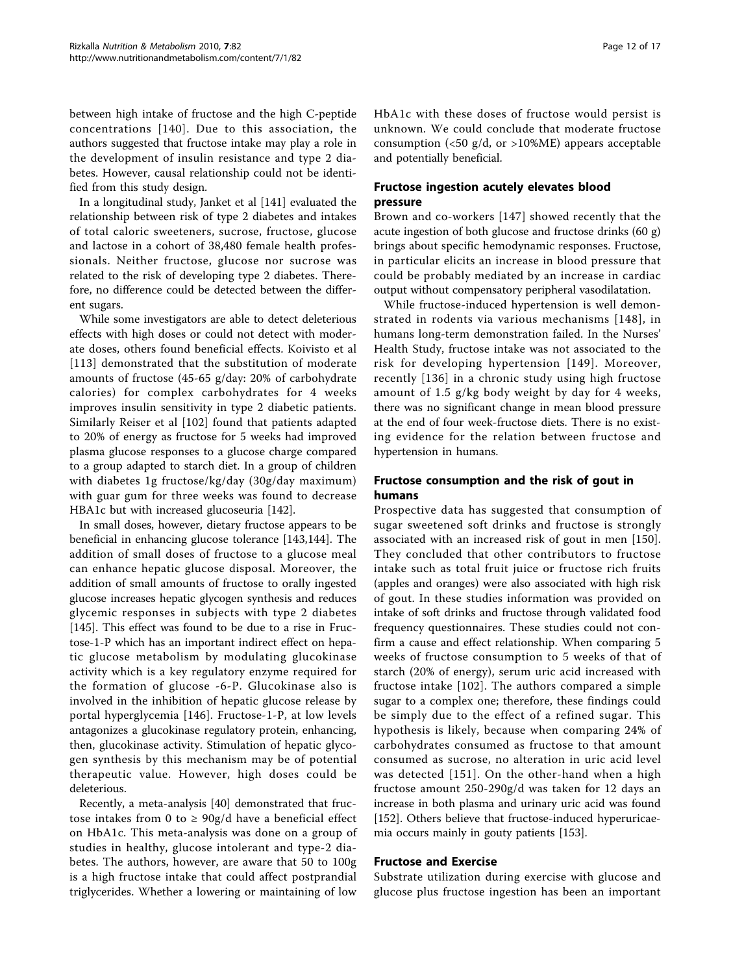between high intake of fructose and the high C-peptide concentrations [[140](#page-15-0)]. Due to this association, the authors suggested that fructose intake may play a role in the development of insulin resistance and type 2 diabetes. However, causal relationship could not be identified from this study design.

In a longitudinal study, Janket et al [\[141](#page-15-0)] evaluated the relationship between risk of type 2 diabetes and intakes of total caloric sweeteners, sucrose, fructose, glucose and lactose in a cohort of 38,480 female health professionals. Neither fructose, glucose nor sucrose was related to the risk of developing type 2 diabetes. Therefore, no difference could be detected between the different sugars.

While some investigators are able to detect deleterious effects with high doses or could not detect with moderate doses, others found beneficial effects. Koivisto et al [[113\]](#page-15-0) demonstrated that the substitution of moderate amounts of fructose (45-65 g/day: 20% of carbohydrate calories) for complex carbohydrates for 4 weeks improves insulin sensitivity in type 2 diabetic patients. Similarly Reiser et al [\[102\]](#page-15-0) found that patients adapted to 20% of energy as fructose for 5 weeks had improved plasma glucose responses to a glucose charge compared to a group adapted to starch diet. In a group of children with diabetes 1g fructose/kg/day (30g/day maximum) with guar gum for three weeks was found to decrease HBA1c but with increased glucoseuria [[142\]](#page-15-0).

In small doses, however, dietary fructose appears to be beneficial in enhancing glucose tolerance [[143,144\]](#page-15-0). The addition of small doses of fructose to a glucose meal can enhance hepatic glucose disposal. Moreover, the addition of small amounts of fructose to orally ingested glucose increases hepatic glycogen synthesis and reduces glycemic responses in subjects with type 2 diabetes [[145\]](#page-16-0). This effect was found to be due to a rise in Fructose-1-P which has an important indirect effect on hepatic glucose metabolism by modulating glucokinase activity which is a key regulatory enzyme required for the formation of glucose -6-P. Glucokinase also is involved in the inhibition of hepatic glucose release by portal hyperglycemia [[146](#page-16-0)]. Fructose-1-P, at low levels antagonizes a glucokinase regulatory protein, enhancing, then, glucokinase activity. Stimulation of hepatic glycogen synthesis by this mechanism may be of potential therapeutic value. However, high doses could be deleterious.

Recently, a meta-analysis [[40\]](#page-13-0) demonstrated that fructose intakes from 0 to  $\geq$  90g/d have a beneficial effect on HbA1c. This meta-analysis was done on a group of studies in healthy, glucose intolerant and type-2 diabetes. The authors, however, are aware that 50 to 100g is a high fructose intake that could affect postprandial triglycerides. Whether a lowering or maintaining of low HbA1c with these doses of fructose would persist is unknown. We could conclude that moderate fructose consumption ( $\langle 50 \text{ g/d}, \text{ or } \rangle 10\%$ ME) appears acceptable and potentially beneficial.

### Fructose ingestion acutely elevates blood pressure

Brown and co-workers [[147](#page-16-0)] showed recently that the acute ingestion of both glucose and fructose drinks (60 g) brings about specific hemodynamic responses. Fructose, in particular elicits an increase in blood pressure that could be probably mediated by an increase in cardiac output without compensatory peripheral vasodilatation.

While fructose-induced hypertension is well demonstrated in rodents via various mechanisms [[148](#page-16-0)], in humans long-term demonstration failed. In the Nurses' Health Study, fructose intake was not associated to the risk for developing hypertension [[149](#page-16-0)]. Moreover, recently [[136](#page-15-0)] in a chronic study using high fructose amount of 1.5 g/kg body weight by day for 4 weeks, there was no significant change in mean blood pressure at the end of four week-fructose diets. There is no existing evidence for the relation between fructose and hypertension in humans.

### Fructose consumption and the risk of gout in humans

Prospective data has suggested that consumption of sugar sweetened soft drinks and fructose is strongly associated with an increased risk of gout in men [[150](#page-16-0)]. They concluded that other contributors to fructose intake such as total fruit juice or fructose rich fruits (apples and oranges) were also associated with high risk of gout. In these studies information was provided on intake of soft drinks and fructose through validated food frequency questionnaires. These studies could not confirm a cause and effect relationship. When comparing 5 weeks of fructose consumption to 5 weeks of that of starch (20% of energy), serum uric acid increased with fructose intake [[102](#page-15-0)]. The authors compared a simple sugar to a complex one; therefore, these findings could be simply due to the effect of a refined sugar. This hypothesis is likely, because when comparing 24% of carbohydrates consumed as fructose to that amount consumed as sucrose, no alteration in uric acid level was detected [\[151](#page-16-0)]. On the other-hand when a high fructose amount 250-290g/d was taken for 12 days an increase in both plasma and urinary uric acid was found [[152\]](#page-16-0). Others believe that fructose-induced hyperuricaemia occurs mainly in gouty patients [[153](#page-16-0)].

#### Fructose and Exercise

Substrate utilization during exercise with glucose and glucose plus fructose ingestion has been an important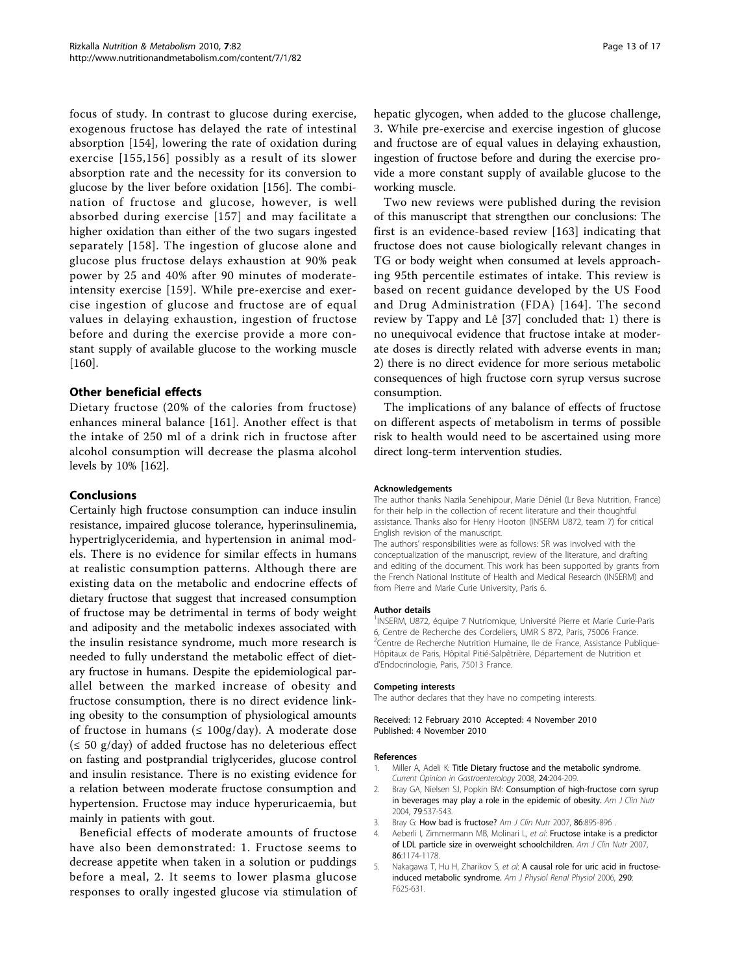<span id="page-12-0"></span>focus of study. In contrast to glucose during exercise, exogenous fructose has delayed the rate of intestinal absorption [\[154](#page-16-0)], lowering the rate of oxidation during exercise [[155,156](#page-16-0)] possibly as a result of its slower absorption rate and the necessity for its conversion to glucose by the liver before oxidation [\[156](#page-16-0)]. The combination of fructose and glucose, however, is well absorbed during exercise [[157\]](#page-16-0) and may facilitate a higher oxidation than either of the two sugars ingested separately [[158\]](#page-16-0). The ingestion of glucose alone and glucose plus fructose delays exhaustion at 90% peak power by 25 and 40% after 90 minutes of moderateintensity exercise [[159](#page-16-0)]. While pre-exercise and exercise ingestion of glucose and fructose are of equal values in delaying exhaustion, ingestion of fructose before and during the exercise provide a more constant supply of available glucose to the working muscle [[160\]](#page-16-0).

#### Other beneficial effects

Dietary fructose (20% of the calories from fructose) enhances mineral balance [[161](#page-16-0)]. Another effect is that the intake of 250 ml of a drink rich in fructose after alcohol consumption will decrease the plasma alcohol levels by 10% [[162](#page-16-0)].

#### Conclusions

Certainly high fructose consumption can induce insulin resistance, impaired glucose tolerance, hyperinsulinemia, hypertriglyceridemia, and hypertension in animal models. There is no evidence for similar effects in humans at realistic consumption patterns. Although there are existing data on the metabolic and endocrine effects of dietary fructose that suggest that increased consumption of fructose may be detrimental in terms of body weight and adiposity and the metabolic indexes associated with the insulin resistance syndrome, much more research is needed to fully understand the metabolic effect of dietary fructose in humans. Despite the epidemiological parallel between the marked increase of obesity and fructose consumption, there is no direct evidence linking obesity to the consumption of physiological amounts of fructose in humans ( $\leq 100g/day$ ). A moderate dose  $(\leq 50 \text{ g/day})$  of added fructose has no deleterious effect on fasting and postprandial triglycerides, glucose control and insulin resistance. There is no existing evidence for a relation between moderate fructose consumption and hypertension. Fructose may induce hyperuricaemia, but mainly in patients with gout.

Beneficial effects of moderate amounts of fructose have also been demonstrated: 1. Fructose seems to decrease appetite when taken in a solution or puddings before a meal, 2. It seems to lower plasma glucose responses to orally ingested glucose via stimulation of hepatic glycogen, when added to the glucose challenge, 3. While pre-exercise and exercise ingestion of glucose and fructose are of equal values in delaying exhaustion, ingestion of fructose before and during the exercise provide a more constant supply of available glucose to the working muscle.

Two new reviews were published during the revision of this manuscript that strengthen our conclusions: The first is an evidence-based review [[163\]](#page-16-0) indicating that fructose does not cause biologically relevant changes in TG or body weight when consumed at levels approaching 95th percentile estimates of intake. This review is based on recent guidance developed by the US Food and Drug Administration (FDA) [[164](#page-16-0)]. The second review by Tappy and Lê [\[37\]](#page-13-0) concluded that: 1) there is no unequivocal evidence that fructose intake at moderate doses is directly related with adverse events in man; 2) there is no direct evidence for more serious metabolic consequences of high fructose corn syrup versus sucrose consumption.

The implications of any balance of effects of fructose on different aspects of metabolism in terms of possible risk to health would need to be ascertained using more direct long-term intervention studies.

#### Acknowledgements

The author thanks Nazila Senehipour, Marie Déniel (Lr Beva Nutrition, France) for their help in the collection of recent literature and their thoughtful assistance. Thanks also for Henry Hooton (INSERM U872, team 7) for critical English revision of the manuscript.

The authors' responsibilities were as follows: SR was involved with the conceptualization of the manuscript, review of the literature, and drafting and editing of the document. This work has been supported by grants from the French National Institute of Health and Medical Research (INSERM) and from Pierre and Marie Curie University, Paris 6.

#### Author details

<sup>1</sup>INSERM, U872, équipe 7 Nutriomique, Université Pierre et Marie Curie-Paris 6, Centre de Recherche des Cordeliers, UMR S 872, Paris, 75006 France. <sup>2</sup>Centre de Recherche Nutrition Humaine, Ile de France, Assistance Publique-Hôpitaux de Paris, Hôpital Pitié-Salpêtrière, Département de Nutrition et d'Endocrinologie, Paris, 75013 France.

#### Competing interests

The author declares that they have no competing interests.

Received: 12 February 2010 Accepted: 4 November 2010 Published: 4 November 2010

#### References

- 1. Miller A, Adeli K: [Title Dietary fructose and the metabolic syndrome.](http://www.ncbi.nlm.nih.gov/pubmed/18301272?dopt=Abstract) Current Opinion in Gastroenterology 2008, 24:204-209.
- 2. Bray GA, Nielsen SJ, Popkin BM: [Consumption of high-fructose corn syrup](http://www.ncbi.nlm.nih.gov/pubmed/15051594?dopt=Abstract) [in beverages may play a role in the epidemic of obesity.](http://www.ncbi.nlm.nih.gov/pubmed/15051594?dopt=Abstract) Am  $J$  Clin Nutr 2004, 79:537-543.
- 3. Bray G: [How bad is fructose?](http://www.ncbi.nlm.nih.gov/pubmed/17921361?dopt=Abstract) Am J Clin Nutr 2007, 86:895-896
- 4. Aeberli I, Zimmermann MB, Molinari L, et al: [Fructose intake is a predictor](http://www.ncbi.nlm.nih.gov/pubmed/17921399?dopt=Abstract) [of LDL particle size in overweight schoolchildren.](http://www.ncbi.nlm.nih.gov/pubmed/17921399?dopt=Abstract) Am J Clin Nutr 2007, 86:1174-1178.
- 5. Nakagawa T, Hu H, Zharikov S, et al: [A causal role for uric acid in fructose](http://www.ncbi.nlm.nih.gov/pubmed/16234313?dopt=Abstract)[induced metabolic syndrome.](http://www.ncbi.nlm.nih.gov/pubmed/16234313?dopt=Abstract) Am J Physiol Renal Physiol 2006, 290: F625-631.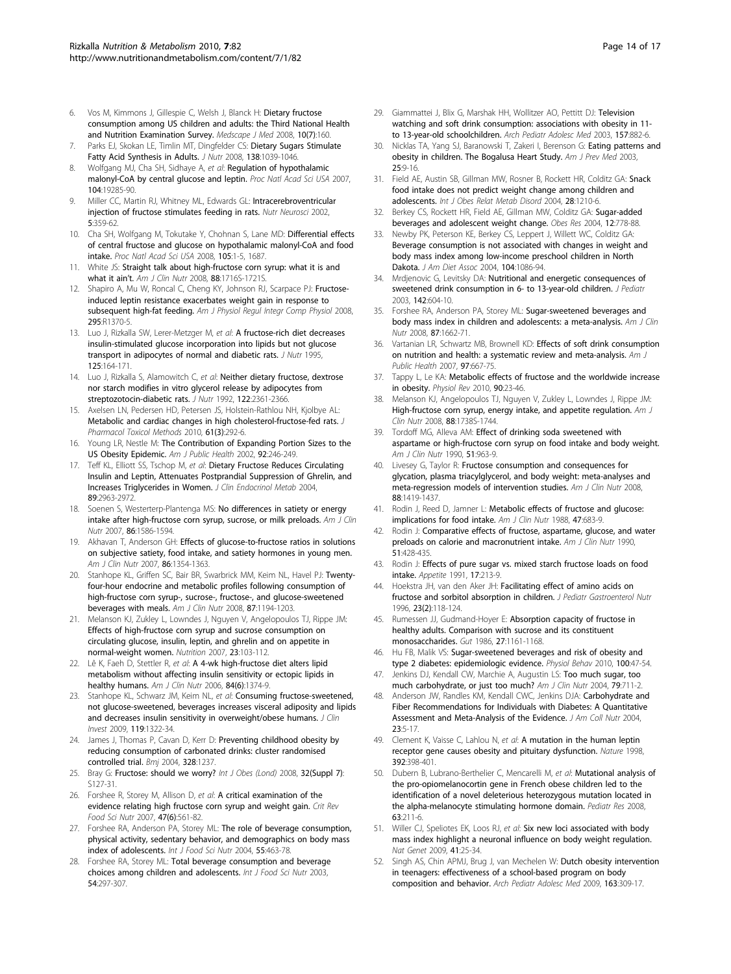- <span id="page-13-0"></span>6. Vos M, Kimmons J, Gillespie C, Welsh J, Blanck H: [Dietary fructose](http://www.ncbi.nlm.nih.gov/pubmed/18769702?dopt=Abstract) [consumption among US children and adults: the Third National Health](http://www.ncbi.nlm.nih.gov/pubmed/18769702?dopt=Abstract) [and Nutrition Examination Survey.](http://www.ncbi.nlm.nih.gov/pubmed/18769702?dopt=Abstract) Medscape J Med 2008, 10(7):160.
- 7. Parks EJ, Skokan LE, Timlin MT, Dingfelder CS: [Dietary Sugars Stimulate](http://www.ncbi.nlm.nih.gov/pubmed/18492831?dopt=Abstract) [Fatty Acid Synthesis in Adults.](http://www.ncbi.nlm.nih.gov/pubmed/18492831?dopt=Abstract) J Nutr 2008, 138:1039-1046.
- 8. Wolfgang MJ, Cha SH, Sidhaye A, et al: [Regulation of hypothalamic](http://www.ncbi.nlm.nih.gov/pubmed/18032600?dopt=Abstract) [malonyl-CoA by central glucose and leptin.](http://www.ncbi.nlm.nih.gov/pubmed/18032600?dopt=Abstract) Proc Natl Acad Sci USA 2007, 104:19285-90.
- Miller CC, Martin RJ, Whitney ML, Edwards GL: [Intracerebroventricular](http://www.ncbi.nlm.nih.gov/pubmed/12385599?dopt=Abstract) [injection of fructose stimulates feeding in rats.](http://www.ncbi.nlm.nih.gov/pubmed/12385599?dopt=Abstract) Nutr Neurosci 2002, 5:359-62.
- 10. Cha SH, Wolfgang M, Tokutake Y, Chohnan S, Lane MD: Differential effects of central fructose and glucose on hypothalamic malonyl-CoA and food intake. Proc Natl Acad Sci USA 2008, 105:1-5, 1687.
- 11. White JS: [Straight talk about high-fructose corn syrup: what it is and](http://www.ncbi.nlm.nih.gov/pubmed/19064536?dopt=Abstract) [what it ain](http://www.ncbi.nlm.nih.gov/pubmed/19064536?dopt=Abstract)'t. Am J Clin Nutr 2008, 88:1716S-1721S.
- 12. Shapiro A, Mu W, Roncal C, Cheng KY, Johnson RJ, Scarpace PJ: [Fructose](http://www.ncbi.nlm.nih.gov/pubmed/18703413?dopt=Abstract)[induced leptin resistance exacerbates weight gain in response to](http://www.ncbi.nlm.nih.gov/pubmed/18703413?dopt=Abstract) [subsequent high-fat feeding.](http://www.ncbi.nlm.nih.gov/pubmed/18703413?dopt=Abstract) Am J Physiol Regul Integr Comp Physiol 2008, 295:R1370-5.
- 13. Luo J, Rizkalla SW, Lerer-Metzger M, et al: [A fructose-rich diet decreases](http://www.ncbi.nlm.nih.gov/pubmed/7861242?dopt=Abstract) [insulin-stimulated glucose incorporation into lipids but not glucose](http://www.ncbi.nlm.nih.gov/pubmed/7861242?dopt=Abstract) [transport in adipocytes of normal and diabetic rats.](http://www.ncbi.nlm.nih.gov/pubmed/7861242?dopt=Abstract) J Nutr 1995, 125:164-171.
- 14. Luo J, Rizkalla S, Alamowitch C, et al: [Neither dietary fructose, dextrose](http://www.ncbi.nlm.nih.gov/pubmed/1453220?dopt=Abstract) [nor starch modifies in vitro glycerol release by adipocytes from](http://www.ncbi.nlm.nih.gov/pubmed/1453220?dopt=Abstract) [streptozotocin-diabetic rats.](http://www.ncbi.nlm.nih.gov/pubmed/1453220?dopt=Abstract) J Nutr 1992, 122:2361-2366.
- 15. Axelsen LN, Pedersen HD, Petersen JS, Holstein-Rathlou NH, Kjolbye AL: [Metabolic and cardiac changes in high cholesterol-fructose-fed rats.](http://www.ncbi.nlm.nih.gov/pubmed/20172035?dopt=Abstract) J Pharmacol Toxicol Methods 2010, 61(3):292-6.
- 16. Young LR, Nestle M: [The Contribution of Expanding Portion Sizes to the](http://www.ncbi.nlm.nih.gov/pubmed/11818300?dopt=Abstract) [US Obesity Epidemic.](http://www.ncbi.nlm.nih.gov/pubmed/11818300?dopt=Abstract) Am J Public Health 2002, 92:246-249.
- 17. Teff KL, Elliott SS, Tschop M, et al: [Dietary Fructose Reduces Circulating](http://www.ncbi.nlm.nih.gov/pubmed/15181085?dopt=Abstract) [Insulin and Leptin, Attenuates Postprandial Suppression of Ghrelin, and](http://www.ncbi.nlm.nih.gov/pubmed/15181085?dopt=Abstract) [Increases Triglycerides in Women.](http://www.ncbi.nlm.nih.gov/pubmed/15181085?dopt=Abstract) J Clin Endocrinol Metab 2004, 89:2963-2972.
- 18. Soenen S, Westerterp-Plantenga MS: [No differences in satiety or energy](http://www.ncbi.nlm.nih.gov/pubmed/18065574?dopt=Abstract) [intake after high-fructose corn syrup, sucrose, or milk preloads.](http://www.ncbi.nlm.nih.gov/pubmed/18065574?dopt=Abstract) Am J Clin Nutr 2007, 86:1586-1594.
- 19. Akhavan T, Anderson GH: [Effects of glucose-to-fructose ratios in solutions](http://www.ncbi.nlm.nih.gov/pubmed/17991646?dopt=Abstract) [on subjective satiety, food intake, and satiety hormones in young men.](http://www.ncbi.nlm.nih.gov/pubmed/17991646?dopt=Abstract) Am J Clin Nutr 2007, 86:1354-1363.
- 20. Stanhope KL, Griffen SC, Bair BR, Swarbrick MM, Keim NL, Havel PJ: [Twenty](http://www.ncbi.nlm.nih.gov/pubmed/18469239?dopt=Abstract)[four-hour endocrine and metabolic profiles following consumption of](http://www.ncbi.nlm.nih.gov/pubmed/18469239?dopt=Abstract) [high-fructose corn syrup-, sucrose-, fructose-, and glucose-sweetened](http://www.ncbi.nlm.nih.gov/pubmed/18469239?dopt=Abstract) [beverages with meals.](http://www.ncbi.nlm.nih.gov/pubmed/18469239?dopt=Abstract) Am J Clin Nutr 2008, 87:1194-1203.
- 21. Melanson KJ, Zukley L, Lowndes J, Nguyen V, Angelopoulos TJ, Rippe JM: [Effects of high-fructose corn syrup and sucrose consumption on](http://www.ncbi.nlm.nih.gov/pubmed/17234503?dopt=Abstract) [circulating glucose, insulin, leptin, and ghrelin and on appetite in](http://www.ncbi.nlm.nih.gov/pubmed/17234503?dopt=Abstract) [normal-weight women.](http://www.ncbi.nlm.nih.gov/pubmed/17234503?dopt=Abstract) Nutrition 2007, 23:103-112.
- 22. Lê K, Faeh D, Stettler R, et al: [A 4-wk high-fructose diet alters lipid](http://www.ncbi.nlm.nih.gov/pubmed/17158419?dopt=Abstract) [metabolism without affecting insulin sensitivity or ectopic lipids in](http://www.ncbi.nlm.nih.gov/pubmed/17158419?dopt=Abstract) [healthy humans.](http://www.ncbi.nlm.nih.gov/pubmed/17158419?dopt=Abstract) Am J Clin Nutr 2006, 84(6):1374-9.
- 23. Stanhope KL, Schwarz JM, Keim NL, et al: [Consuming fructose-sweetened,](http://www.ncbi.nlm.nih.gov/pubmed/19381015?dopt=Abstract) [not glucose-sweetened, beverages increases visceral adiposity and lipids](http://www.ncbi.nlm.nih.gov/pubmed/19381015?dopt=Abstract) [and decreases insulin sensitivity in overweight/obese humans.](http://www.ncbi.nlm.nih.gov/pubmed/19381015?dopt=Abstract) J Clin Invest 2009, 119:1322-34.
- 24. James J, Thomas P, Cavan D, Kerr D: [Preventing childhood obesity by](http://www.ncbi.nlm.nih.gov/pubmed/15107313?dopt=Abstract) [reducing consumption of carbonated drinks: cluster randomised](http://www.ncbi.nlm.nih.gov/pubmed/15107313?dopt=Abstract) [controlled trial.](http://www.ncbi.nlm.nih.gov/pubmed/15107313?dopt=Abstract) Bmj 2004, 328:1237.
- 25. Bray G: [Fructose: should we worry?](http://www.ncbi.nlm.nih.gov/pubmed/19136981?dopt=Abstract) Int J Obes (Lond) 2008, 32(Suppl 7): S127-31.
- 26. Forshee R, Storey M, Allison D, et al: [A critical examination of the](http://www.ncbi.nlm.nih.gov/pubmed/17653981?dopt=Abstract) [evidence relating high fructose corn syrup and weight gain.](http://www.ncbi.nlm.nih.gov/pubmed/17653981?dopt=Abstract) Crit Rev Food Sci Nutr 2007, 47(6):561-82.
- 27. Forshee RA, Anderson PA, Storey ML: [The role of beverage consumption,](http://www.ncbi.nlm.nih.gov/pubmed/15762311?dopt=Abstract) [physical activity, sedentary behavior, and demographics on body mass](http://www.ncbi.nlm.nih.gov/pubmed/15762311?dopt=Abstract) [index of adolescents.](http://www.ncbi.nlm.nih.gov/pubmed/15762311?dopt=Abstract) Int J Food Sci Nutr 2004, 55:463-78.
- 28. Forshee RA, Storey ML: [Total beverage consumption and beverage](http://www.ncbi.nlm.nih.gov/pubmed/12850891?dopt=Abstract) [choices among children and adolescents.](http://www.ncbi.nlm.nih.gov/pubmed/12850891?dopt=Abstract) Int J Food Sci Nutr 2003, 54:297-307.
- 29. Giammattei J, Blix G, Marshak HH, Wollitzer AO, Pettitt DJ: [Television](http://www.ncbi.nlm.nih.gov/pubmed/12963593?dopt=Abstract) [watching and soft drink consumption: associations with obesity in 11](http://www.ncbi.nlm.nih.gov/pubmed/12963593?dopt=Abstract) [to 13-year-old schoolchildren.](http://www.ncbi.nlm.nih.gov/pubmed/12963593?dopt=Abstract) Arch Pediatr Adolesc Med 2003, 157:882-6.
- 30. Nicklas TA, Yang SJ, Baranowski T, Zakeri I, Berenson G: [Eating patterns and](http://www.ncbi.nlm.nih.gov/pubmed/12818304?dopt=Abstract) [obesity in children. The Bogalusa Heart Study.](http://www.ncbi.nlm.nih.gov/pubmed/12818304?dopt=Abstract) Am J Prev Med 2003, 25:9-16.
- 31. Field AE, Austin SB, Gillman MW, Rosner B, Rockett HR, Colditz GA: [Snack](http://www.ncbi.nlm.nih.gov/pubmed/15314623?dopt=Abstract) [food intake does not predict weight change among children and](http://www.ncbi.nlm.nih.gov/pubmed/15314623?dopt=Abstract) [adolescents.](http://www.ncbi.nlm.nih.gov/pubmed/15314623?dopt=Abstract) Int J Obes Relat Metab Disord 2004, 28:1210-6.
- 32. Berkey CS, Rockett HR, Field AE, Gillman MW, Colditz GA: [Sugar-added](http://www.ncbi.nlm.nih.gov/pubmed/15166298?dopt=Abstract) [beverages and adolescent weight change.](http://www.ncbi.nlm.nih.gov/pubmed/15166298?dopt=Abstract) Obes Res 2004, 12:778-88.
- 33. Newby PK, Peterson KE, Berkey CS, Leppert J, Willett WC, Colditz GA: [Beverage consumption is not associated with changes in weight and](http://www.ncbi.nlm.nih.gov/pubmed/15215766?dopt=Abstract) [body mass index among low-income preschool children in North](http://www.ncbi.nlm.nih.gov/pubmed/15215766?dopt=Abstract) [Dakota.](http://www.ncbi.nlm.nih.gov/pubmed/15215766?dopt=Abstract) J Am Diet Assoc 2004, 104:1086-94.
- 34. Mrdjenovic G, Levitsky DA: [Nutritional and energetic consequences of](http://www.ncbi.nlm.nih.gov/pubmed/12838186?dopt=Abstract) [sweetened drink consumption in 6- to 13-year-old children.](http://www.ncbi.nlm.nih.gov/pubmed/12838186?dopt=Abstract) J Pediatr 2003, 142:604-10.
- 35. Forshee RA, Anderson PA, Storey ML: [Sugar-sweetened beverages and](http://www.ncbi.nlm.nih.gov/pubmed/18541554?dopt=Abstract) [body mass index in children and adolescents: a meta-analysis.](http://www.ncbi.nlm.nih.gov/pubmed/18541554?dopt=Abstract) Am J Clin Nutr 2008, 87:1662-71.
- 36. Vartanian LR, Schwartz MB, Brownell KD: [Effects of soft drink consumption](http://www.ncbi.nlm.nih.gov/pubmed/17329656?dopt=Abstract) [on nutrition and health: a systematic review and meta-analysis.](http://www.ncbi.nlm.nih.gov/pubmed/17329656?dopt=Abstract) Am J Public Health 2007, 97:667-75.
- 37. Tappy L, Le KA: [Metabolic effects of fructose and the worldwide increase](http://www.ncbi.nlm.nih.gov/pubmed/20086073?dopt=Abstract) [in obesity.](http://www.ncbi.nlm.nih.gov/pubmed/20086073?dopt=Abstract) Physiol Rev 2010, 90:23-46.
- 38. Melanson KJ, Angelopoulos TJ, Nguyen V, Zukley L, Lowndes J, Rippe JM: [High-fructose corn syrup, energy intake, and appetite regulation.](http://www.ncbi.nlm.nih.gov/pubmed/19064539?dopt=Abstract) Am J Clin Nutr 2008, 88:1738S-1744.
- 39. Tordoff MG, Alleva AM: [Effect of drinking soda sweetened with](http://www.ncbi.nlm.nih.gov/pubmed/2349932?dopt=Abstract) [aspartame or high-fructose corn syrup on food intake and body weight.](http://www.ncbi.nlm.nih.gov/pubmed/2349932?dopt=Abstract) Am 1 Clin Nutr 1990, 51:963-9.
- 40. Livesey G, Taylor R: [Fructose consumption and consequences for](http://www.ncbi.nlm.nih.gov/pubmed/18996880?dopt=Abstract) [glycation, plasma triacylglycerol, and body weight: meta-analyses and](http://www.ncbi.nlm.nih.gov/pubmed/18996880?dopt=Abstract) [meta-regression models of intervention studies.](http://www.ncbi.nlm.nih.gov/pubmed/18996880?dopt=Abstract) Am J Clin Nutr 2008, 88:1419-1437.
- 41. Rodin J, Reed D, Jamner L: [Metabolic effects of fructose and glucose:](http://www.ncbi.nlm.nih.gov/pubmed/3354494?dopt=Abstract) [implications for food intake.](http://www.ncbi.nlm.nih.gov/pubmed/3354494?dopt=Abstract) Am J Clin Nutr 1988, 47:683-9.
- 42. Rodin J: [Comparative effects of fructose, aspartame, glucose, and water](http://www.ncbi.nlm.nih.gov/pubmed/2178391?dopt=Abstract) [preloads on calorie and macronutrient intake.](http://www.ncbi.nlm.nih.gov/pubmed/2178391?dopt=Abstract) Am J Clin Nutr 1990, 51:428-435.
- 43. Rodin J: [Effects of pure sugar vs. mixed starch fructose loads on food](http://www.ncbi.nlm.nih.gov/pubmed/1799283?dopt=Abstract) [intake.](http://www.ncbi.nlm.nih.gov/pubmed/1799283?dopt=Abstract) Appetite 1991, 17:213-9.
- 44. Hoekstra JH, van den Aker JH: [Facilitating effect of amino acids on](http://www.ncbi.nlm.nih.gov/pubmed/8856576?dopt=Abstract) [fructose and sorbitol absorption in children.](http://www.ncbi.nlm.nih.gov/pubmed/8856576?dopt=Abstract) J Pediatr Gastroenterol Nutr 1996, 23(2):118-124.
- 45. Rumessen JJ, Gudmand-Hoyer E: [Absorption capacity of fructose in](http://www.ncbi.nlm.nih.gov/pubmed/3781328?dopt=Abstract) [healthy adults. Comparison with sucrose and its constituent](http://www.ncbi.nlm.nih.gov/pubmed/3781328?dopt=Abstract) [monosaccharides.](http://www.ncbi.nlm.nih.gov/pubmed/3781328?dopt=Abstract) Gut 1986, 27:1161-1168.
- 46. Hu FB, Malik VS: [Sugar-sweetened beverages and risk of obesity and](http://www.ncbi.nlm.nih.gov/pubmed/20138901?dopt=Abstract) [type 2 diabetes: epidemiologic evidence.](http://www.ncbi.nlm.nih.gov/pubmed/20138901?dopt=Abstract) Physiol Behav 2010, 100:47-54.
- 47. Jenkins DJ, Kendall CW, Marchie A, Augustin LS: [Too much sugar, too](http://www.ncbi.nlm.nih.gov/pubmed/15113706?dopt=Abstract) [much carbohydrate, or just too much?](http://www.ncbi.nlm.nih.gov/pubmed/15113706?dopt=Abstract) Am J Clin Nutr 2004, 79:711-2.
- 48. Anderson JW, Randles KM, Kendall CWC, Jenkins DJA: [Carbohydrate and](http://www.ncbi.nlm.nih.gov/pubmed/14963049?dopt=Abstract) [Fiber Recommendations for Individuals with Diabetes: A Quantitative](http://www.ncbi.nlm.nih.gov/pubmed/14963049?dopt=Abstract) [Assessment and Meta-Analysis of the Evidence.](http://www.ncbi.nlm.nih.gov/pubmed/14963049?dopt=Abstract) J Am Coll Nutr 2004, 23:5-17.
- 49. Clement K, Vaisse C, Lahlou N, et al: [A mutation in the human leptin](http://www.ncbi.nlm.nih.gov/pubmed/9537324?dopt=Abstract) [receptor gene causes obesity and pituitary dysfunction.](http://www.ncbi.nlm.nih.gov/pubmed/9537324?dopt=Abstract) Nature 1998, 392:398-401.
- 50. Dubern B, Lubrano-Berthelier C, Mencarelli M, et al: [Mutational analysis of](http://www.ncbi.nlm.nih.gov/pubmed/18091355?dopt=Abstract) [the pro-opiomelanocortin gene in French obese children led to the](http://www.ncbi.nlm.nih.gov/pubmed/18091355?dopt=Abstract) [identification of a novel deleterious heterozygous mutation located in](http://www.ncbi.nlm.nih.gov/pubmed/18091355?dopt=Abstract) [the alpha-melanocyte stimulating hormone domain.](http://www.ncbi.nlm.nih.gov/pubmed/18091355?dopt=Abstract) Pediatr Res 2008, 63:211-6.
- 51. Willer CJ, Speliotes EK, Loos RJ, et al: [Six new loci associated with body](http://www.ncbi.nlm.nih.gov/pubmed/19079261?dopt=Abstract) [mass index highlight a neuronal influence on body weight regulation.](http://www.ncbi.nlm.nih.gov/pubmed/19079261?dopt=Abstract) Nat Genet 2009, 41:25-34.
- 52. Singh AS, Chin APMJ, Brug J, van Mechelen W: [Dutch obesity intervention](http://www.ncbi.nlm.nih.gov/pubmed/19349559?dopt=Abstract) [in teenagers: effectiveness of a school-based program on body](http://www.ncbi.nlm.nih.gov/pubmed/19349559?dopt=Abstract) [composition and behavior.](http://www.ncbi.nlm.nih.gov/pubmed/19349559?dopt=Abstract) Arch Pediatr Adolesc Med 2009, 163:309-17.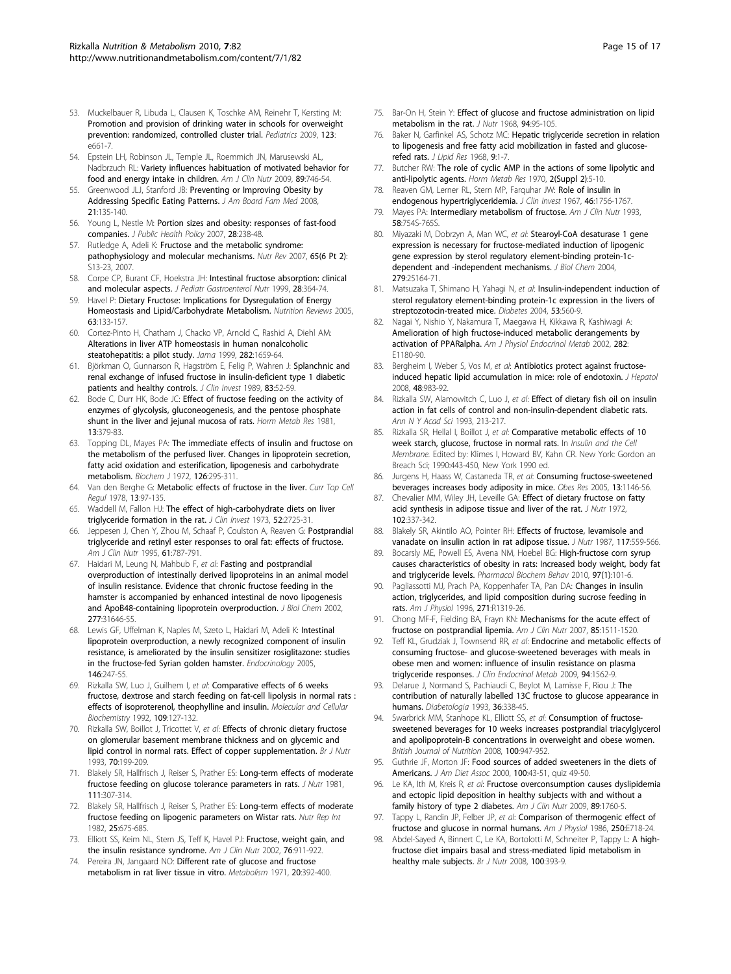- <span id="page-14-0"></span>53. Muckelbauer R, Libuda L, Clausen K, Toschke AM, Reinehr T, Kersting M: [Promotion and provision of drinking water in schools for overweight](http://www.ncbi.nlm.nih.gov/pubmed/19336356?dopt=Abstract) [prevention: randomized, controlled cluster trial.](http://www.ncbi.nlm.nih.gov/pubmed/19336356?dopt=Abstract) Pediatrics 2009, 123: e661-7.
- 54. Epstein LH, Robinson JL, Temple JL, Roemmich JN, Marusewski AL, Nadbrzuch RL: [Variety influences habituation of motivated behavior for](http://www.ncbi.nlm.nih.gov/pubmed/19176724?dopt=Abstract) [food and energy intake in children.](http://www.ncbi.nlm.nih.gov/pubmed/19176724?dopt=Abstract) Am J Clin Nutr 2009, 89:746-54.
- 55. Greenwood JLJ, Stanford JB: [Preventing or Improving Obesity by](http://www.ncbi.nlm.nih.gov/pubmed/18343861?dopt=Abstract) [Addressing Specific Eating Patterns.](http://www.ncbi.nlm.nih.gov/pubmed/18343861?dopt=Abstract) J Am Board Fam Med 2008, 21:135-140.
- 56. Young L, Nestle M: [Portion sizes and obesity: responses of fast-food](http://www.ncbi.nlm.nih.gov/pubmed/17585324?dopt=Abstract) [companies.](http://www.ncbi.nlm.nih.gov/pubmed/17585324?dopt=Abstract) J Public Health Policy 2007, 28:238-48.
- 57. Rutledge A, Adeli K: [Fructose and the metabolic syndrome:](http://www.ncbi.nlm.nih.gov/pubmed/17605309?dopt=Abstract) [pathophysiology and molecular mechanisms.](http://www.ncbi.nlm.nih.gov/pubmed/17605309?dopt=Abstract) Nutr Rev 2007, 65(6 Pt 2): S13-23, 2007.
- 58. Corpe CP, Burant CF, Hoekstra JH: [Intestinal fructose absorption: clinical](http://www.ncbi.nlm.nih.gov/pubmed/10204498?dopt=Abstract) [and molecular aspects.](http://www.ncbi.nlm.nih.gov/pubmed/10204498?dopt=Abstract) J Pediatr Gastroenterol Nutr 1999, 28:364-74.
- 59. Havel P: [Dietary Fructose: Implications for Dysregulation of Energy](http://www.ncbi.nlm.nih.gov/pubmed/15971409?dopt=Abstract) [Homeostasis and Lipid/Carbohydrate Metabolism.](http://www.ncbi.nlm.nih.gov/pubmed/15971409?dopt=Abstract) Nutrition Reviews 2005, 63:133-157.
- 60. Cortez-Pinto H, Chatham J, Chacko VP, Arnold C, Rashid A, Diehl AM: [Alterations in liver ATP homeostasis in human nonalcoholic](http://www.ncbi.nlm.nih.gov/pubmed/10553793?dopt=Abstract) [steatohepatitis: a pilot study.](http://www.ncbi.nlm.nih.gov/pubmed/10553793?dopt=Abstract) Jama 1999, 282:1659-64.
- 61. Björkman O, Gunnarson R, Hagström E, Felig P, Wahren J: [Splanchnic and](http://www.ncbi.nlm.nih.gov/pubmed/2910919?dopt=Abstract) [renal exchange of infused fructose in insulin-deficient type 1 diabetic](http://www.ncbi.nlm.nih.gov/pubmed/2910919?dopt=Abstract) [patients and healthy controls.](http://www.ncbi.nlm.nih.gov/pubmed/2910919?dopt=Abstract) J Clin Invest 1989, 83:52-59
- 62. Bode C, Durr HK, Bode JC: [Effect of fructose feeding on the activity of](http://www.ncbi.nlm.nih.gov/pubmed/7274991?dopt=Abstract) [enzymes of glycolysis, gluconeogenesis, and the pentose phosphate](http://www.ncbi.nlm.nih.gov/pubmed/7274991?dopt=Abstract) [shunt in the liver and jejunal mucosa of rats.](http://www.ncbi.nlm.nih.gov/pubmed/7274991?dopt=Abstract) Horm Metab Res 1981, 13:379-83.
- 63. Topping DL, Mayes PA: The immediate effects of insulin and fructose on the metabolism of the perfused liver. Changes in lipoprotein secretion, fatty acid oxidation and esterification, lipogenesis and carbohydrate metabolism. Biochem J 1972, 126:295-311.
- 64. Van den Berghe G: [Metabolic effects of fructose in the liver.](http://www.ncbi.nlm.nih.gov/pubmed/208819?dopt=Abstract) Curr Top Cell Regul 1978, 13:97-135.
- 65. Waddell M, Fallon HJ: [The effect of high-carbohydrate diets on liver](http://www.ncbi.nlm.nih.gov/pubmed/4748509?dopt=Abstract) [triglyceride formation in the rat.](http://www.ncbi.nlm.nih.gov/pubmed/4748509?dopt=Abstract) J Clin Invest 1973, 52:2725-31.
- 66. Jeppesen J, Chen Y, Zhou M, Schaaf P, Coulston A, Reaven G: [Postprandial](http://www.ncbi.nlm.nih.gov/pubmed/7702020?dopt=Abstract) [triglyceride and retinyl ester responses to oral fat: effects of fructose.](http://www.ncbi.nlm.nih.gov/pubmed/7702020?dopt=Abstract) Am J Clin Nutr 1995, 61:787-791.
- 67. Haidari M, Leung N, Mahbub F, et al: [Fasting and postprandial](http://www.ncbi.nlm.nih.gov/pubmed/12070142?dopt=Abstract) [overproduction of intestinally derived lipoproteins in an animal model](http://www.ncbi.nlm.nih.gov/pubmed/12070142?dopt=Abstract) [of insulin resistance. Evidence that chronic fructose feeding in the](http://www.ncbi.nlm.nih.gov/pubmed/12070142?dopt=Abstract) [hamster is accompanied by enhanced intestinal de novo lipogenesis](http://www.ncbi.nlm.nih.gov/pubmed/12070142?dopt=Abstract) [and ApoB48-containing lipoprotein overproduction.](http://www.ncbi.nlm.nih.gov/pubmed/12070142?dopt=Abstract) *J Biol Chem 2002*, 277:31646-55.
- 68. Lewis GF, Uffelman K, Naples M, Szeto L, Haidari M, Adeli K: [Intestinal](http://www.ncbi.nlm.nih.gov/pubmed/15486228?dopt=Abstract) [lipoprotein overproduction, a newly recognized component of insulin](http://www.ncbi.nlm.nih.gov/pubmed/15486228?dopt=Abstract) [resistance, is ameliorated by the insulin sensitizer rosiglitazone: studies](http://www.ncbi.nlm.nih.gov/pubmed/15486228?dopt=Abstract) [in the fructose-fed Syrian golden hamster.](http://www.ncbi.nlm.nih.gov/pubmed/15486228?dopt=Abstract) Endocrinology 2005, 146:247-55.
- 69. Rizkalla SW, Luo J, Guilhem I, et al: [Comparative effects of 6 weeks](http://www.ncbi.nlm.nih.gov/pubmed/1625679?dopt=Abstract) [fructose, dextrose and starch feeding on fat-cell lipolysis in normal rats :](http://www.ncbi.nlm.nih.gov/pubmed/1625679?dopt=Abstract) [effects of isoproterenol, theophylline and insulin.](http://www.ncbi.nlm.nih.gov/pubmed/1625679?dopt=Abstract) Molecular and Cellular Biochemistry 1992, 109:127-132.
- 70. Rizkalla SW, Boillot J, Tricottet V, et al: [Effects of chronic dietary fructose](http://www.ncbi.nlm.nih.gov/pubmed/8399102?dopt=Abstract) [on glomerular basement membrane thickness and on glycemic and](http://www.ncbi.nlm.nih.gov/pubmed/8399102?dopt=Abstract) [lipid control in normal rats. Effect of copper supplementation.](http://www.ncbi.nlm.nih.gov/pubmed/8399102?dopt=Abstract) Br J Nutr 1993, 70:199-209.
- 71. Blakely SR, Hallfrisch J, Reiser S, Prather ES: [Long-term effects of moderate](http://www.ncbi.nlm.nih.gov/pubmed/7007594?dopt=Abstract) [fructose feeding on glucose tolerance parameters in rats.](http://www.ncbi.nlm.nih.gov/pubmed/7007594?dopt=Abstract) J Nutr 1981, 111:307-314.
- 72. Blakely SR, Hallfrisch J, Reiser S, Prather ES: Long-term effects of moderate fructose feeding on lipogenic parameters on Wistar rats. Nutr Rep Int 1982, 25:675-685.
- 73. Elliott SS, Keim NL, Stern JS, Teff K, Havel PJ: [Fructose, weight gain, and](http://www.ncbi.nlm.nih.gov/pubmed/12399260?dopt=Abstract) [the insulin resistance syndrome.](http://www.ncbi.nlm.nih.gov/pubmed/12399260?dopt=Abstract) Am J Clin Nutr 2002, 76:911-922.
- 74. Pereira JN, Jangaard NO: [Different rate of glucose and fructose](http://www.ncbi.nlm.nih.gov/pubmed/5550306?dopt=Abstract) [metabolism in rat liver tissue in vitro.](http://www.ncbi.nlm.nih.gov/pubmed/5550306?dopt=Abstract) Metabolism 1971, 20:392-400.

Page 15 of 17

- 75. Bar-On H, Stein Y: [Effect of glucose and fructose administration on lipid](http://www.ncbi.nlm.nih.gov/pubmed/4295617?dopt=Abstract) [metabolism in the rat.](http://www.ncbi.nlm.nih.gov/pubmed/4295617?dopt=Abstract) J Nutr 1968, 94:95-105.
- 76. Baker N, Garfinkel AS, Schotz MC: [Hepatic triglyceride secretion in relation](http://www.ncbi.nlm.nih.gov/pubmed/5637428?dopt=Abstract) [to lipogenesis and free fatty acid mobilization in fasted and glucose](http://www.ncbi.nlm.nih.gov/pubmed/5637428?dopt=Abstract)[refed rats.](http://www.ncbi.nlm.nih.gov/pubmed/5637428?dopt=Abstract) *J Lipid Res* 1968, 9:1-7.
- 77. Butcher RW: [The role of cyclic AMP in the actions of some lipolytic and](http://www.ncbi.nlm.nih.gov/pubmed/4403191?dopt=Abstract) [anti-lipolytic agents.](http://www.ncbi.nlm.nih.gov/pubmed/4403191?dopt=Abstract) Horm Metab Res 1970, 2(Suppl 2):5-10.
- 78. Reaven GM, Lerner RL, Stern MP, Farquhar JW: [Role of insulin in](http://www.ncbi.nlm.nih.gov/pubmed/6061748?dopt=Abstract) [endogenous hypertriglyceridemia.](http://www.ncbi.nlm.nih.gov/pubmed/6061748?dopt=Abstract) J Clin Invest 1967, 46:1756-1767
- 79. Mayes PA: [Intermediary metabolism of fructose.](http://www.ncbi.nlm.nih.gov/pubmed/8213607?dopt=Abstract) Am J Clin Nutr 1993, 58:754S-765S.
- 80. Miyazaki M, Dobrzyn A, Man WC, et al: [Stearoyl-CoA desaturase 1 gene](http://www.ncbi.nlm.nih.gov/pubmed/15066988?dopt=Abstract) [expression is necessary for fructose-mediated induction of lipogenic](http://www.ncbi.nlm.nih.gov/pubmed/15066988?dopt=Abstract) [gene expression by sterol regulatory element-binding protein-1c](http://www.ncbi.nlm.nih.gov/pubmed/15066988?dopt=Abstract)[dependent and -independent mechanisms.](http://www.ncbi.nlm.nih.gov/pubmed/15066988?dopt=Abstract) J Biol Chem 2004, 279:25164-71.
- 81. Matsuzaka T, Shimano H, Yahagi N, et al: [Insulin-independent induction of](http://www.ncbi.nlm.nih.gov/pubmed/14988238?dopt=Abstract) [sterol regulatory element-binding protein-1c expression in the livers of](http://www.ncbi.nlm.nih.gov/pubmed/14988238?dopt=Abstract) [streptozotocin-treated mice.](http://www.ncbi.nlm.nih.gov/pubmed/14988238?dopt=Abstract) Diabetes 2004, 53:560-9.
- 82. Nagai Y, Nishio Y, Nakamura T, Maegawa H, Kikkawa R, Kashiwagi A: [Amelioration of high fructose-induced metabolic derangements by](http://www.ncbi.nlm.nih.gov/pubmed/11934685?dopt=Abstract) [activation of PPARalpha.](http://www.ncbi.nlm.nih.gov/pubmed/11934685?dopt=Abstract) Am J Physiol Endocrinol Metab 2002, 282: E1180-90.
- 83. Bergheim I, Weber S, Vos M, et al: [Antibiotics protect against fructose](http://www.ncbi.nlm.nih.gov/pubmed/18395289?dopt=Abstract)[induced hepatic lipid accumulation in mice: role of endotoxin.](http://www.ncbi.nlm.nih.gov/pubmed/18395289?dopt=Abstract) *J Hepatol* 2008, 48:983-92.
- 84. Rizkalla SW, Alamowitch C, Luo J, et al: [Effect of dietary fish oil on insulin](http://www.ncbi.nlm.nih.gov/pubmed/8352443?dopt=Abstract) [action in fat cells of control and non-insulin-dependent diabetic rats.](http://www.ncbi.nlm.nih.gov/pubmed/8352443?dopt=Abstract) Ann N Y Acad Sci 1993, 213-217.
- 85. Rizkalla SR, Hellal I, Boillot J, et al: Comparative metabolic effects of 10 week starch, glucose, fructose in normal rats. In Insulin and the Cell Membrane. Edited by: Klimes I, Howard BV, Kahn CR. New York: Gordon an Breach Sci; 1990:443-450, New York 1990 ed.
- 86. Jurgens H, Haass W, Castaneda TR, et al: [Consuming fructose-sweetened](http://www.ncbi.nlm.nih.gov/pubmed/16076983?dopt=Abstract) [beverages increases body adiposity in mice.](http://www.ncbi.nlm.nih.gov/pubmed/16076983?dopt=Abstract) Obes Res 2005, 13:1146-56.
- 87. Chevalier MM, Wiley JH, Leveille GA: [Effect of dietary fructose on fatty](http://www.ncbi.nlm.nih.gov/pubmed/5061027?dopt=Abstract) [acid synthesis in adipose tissue and liver of the rat.](http://www.ncbi.nlm.nih.gov/pubmed/5061027?dopt=Abstract) J Nutr 1972, 102:337-342.
- 88. Blakely SR, Akintilo AO, Pointer RH: [Effects of fructose, levamisole and](http://www.ncbi.nlm.nih.gov/pubmed/3553468?dopt=Abstract) [vanadate on insulin action in rat adipose tissue.](http://www.ncbi.nlm.nih.gov/pubmed/3553468?dopt=Abstract) J Nutr 1987, 117:559-566.
- 89. Bocarsly ME, Powell ES, Avena NM, Hoebel BG: [High-fructose corn syrup](http://www.ncbi.nlm.nih.gov/pubmed/20219526?dopt=Abstract) [causes characteristics of obesity in rats: Increased body weight, body fat](http://www.ncbi.nlm.nih.gov/pubmed/20219526?dopt=Abstract) [and triglyceride levels.](http://www.ncbi.nlm.nih.gov/pubmed/20219526?dopt=Abstract) Pharmacol Biochem Behav 2010, 97(1):101-6.
- 90. Pagliassotti MJ, Prach PA, Koppenhafer TA, Pan DA: [Changes in insulin](http://www.ncbi.nlm.nih.gov/pubmed/8945970?dopt=Abstract) [action, triglycerides, and lipid composition during sucrose feeding in](http://www.ncbi.nlm.nih.gov/pubmed/8945970?dopt=Abstract) [rats.](http://www.ncbi.nlm.nih.gov/pubmed/8945970?dopt=Abstract) Am J Physiol 1996, 271:R1319-26.
- 91. Chong MF-F, Fielding BA, Frayn KN: [Mechanisms for the acute effect of](http://www.ncbi.nlm.nih.gov/pubmed/17556686?dopt=Abstract) [fructose on postprandial lipemia.](http://www.ncbi.nlm.nih.gov/pubmed/17556686?dopt=Abstract) Am J Clin Nutr 2007, 85:1511-1520.
- Teff KL, Grudziak J, Townsend RR, et al: [Endocrine and metabolic effects of](http://www.ncbi.nlm.nih.gov/pubmed/19208729?dopt=Abstract) [consuming fructose- and glucose-sweetened beverages with meals in](http://www.ncbi.nlm.nih.gov/pubmed/19208729?dopt=Abstract) [obese men and women: influence of insulin resistance on plasma](http://www.ncbi.nlm.nih.gov/pubmed/19208729?dopt=Abstract) [triglyceride responses.](http://www.ncbi.nlm.nih.gov/pubmed/19208729?dopt=Abstract) J Clin Endocrinol Metab 2009, 94:1562-9.
- 93. Delarue J, Normand S, Pachiaudi C, Beylot M, Lamisse F, Riou J: [The](http://www.ncbi.nlm.nih.gov/pubmed/8477880?dopt=Abstract) [contribution of naturally labelled 13C fructose to glucose appearance in](http://www.ncbi.nlm.nih.gov/pubmed/8477880?dopt=Abstract) [humans.](http://www.ncbi.nlm.nih.gov/pubmed/8477880?dopt=Abstract) Diabetologia 1993, 36:338-45.
- 94. Swarbrick MM, Stanhope KL, Elliott SS, et al: [Consumption of fructose](http://www.ncbi.nlm.nih.gov/pubmed/18384705?dopt=Abstract)[sweetened beverages for 10 weeks increases postprandial triacylglycerol](http://www.ncbi.nlm.nih.gov/pubmed/18384705?dopt=Abstract) [and apolipoprotein-B concentrations in overweight and obese women.](http://www.ncbi.nlm.nih.gov/pubmed/18384705?dopt=Abstract) British Journal of Nutrition 2008, 100:947-952.
- 95. Guthrie JF, Morton JF: [Food sources of added sweeteners in the diets of](http://www.ncbi.nlm.nih.gov/pubmed/10646004?dopt=Abstract) [Americans.](http://www.ncbi.nlm.nih.gov/pubmed/10646004?dopt=Abstract) J Am Diet Assoc 2000, 100:43-51, quiz 49-50.
- 96. Le KA, Ith M, Kreis R, et al: [Fructose overconsumption causes dyslipidemia](http://www.ncbi.nlm.nih.gov/pubmed/19403641?dopt=Abstract) [and ectopic lipid deposition in healthy subjects with and without a](http://www.ncbi.nlm.nih.gov/pubmed/19403641?dopt=Abstract) [family history of type 2 diabetes.](http://www.ncbi.nlm.nih.gov/pubmed/19403641?dopt=Abstract) Am J Clin Nutr 2009, 89:1760-5.
- Tappy L, Randin JP, Felber JP, et al: [Comparison of thermogenic effect of](http://www.ncbi.nlm.nih.gov/pubmed/3521319?dopt=Abstract) [fructose and glucose in normal humans.](http://www.ncbi.nlm.nih.gov/pubmed/3521319?dopt=Abstract) Am J Physiol 1986, 250:E718-24.
- 98. Abdel-Sayed A, Binnert C, Le KA, Bortolotti M, Schneiter P, Tappy L: [A high](http://www.ncbi.nlm.nih.gov/pubmed/18205992?dopt=Abstract)[fructose diet impairs basal and stress-mediated lipid metabolism in](http://www.ncbi.nlm.nih.gov/pubmed/18205992?dopt=Abstract) [healthy male subjects.](http://www.ncbi.nlm.nih.gov/pubmed/18205992?dopt=Abstract) Br J Nutr 2008, 100:393-9.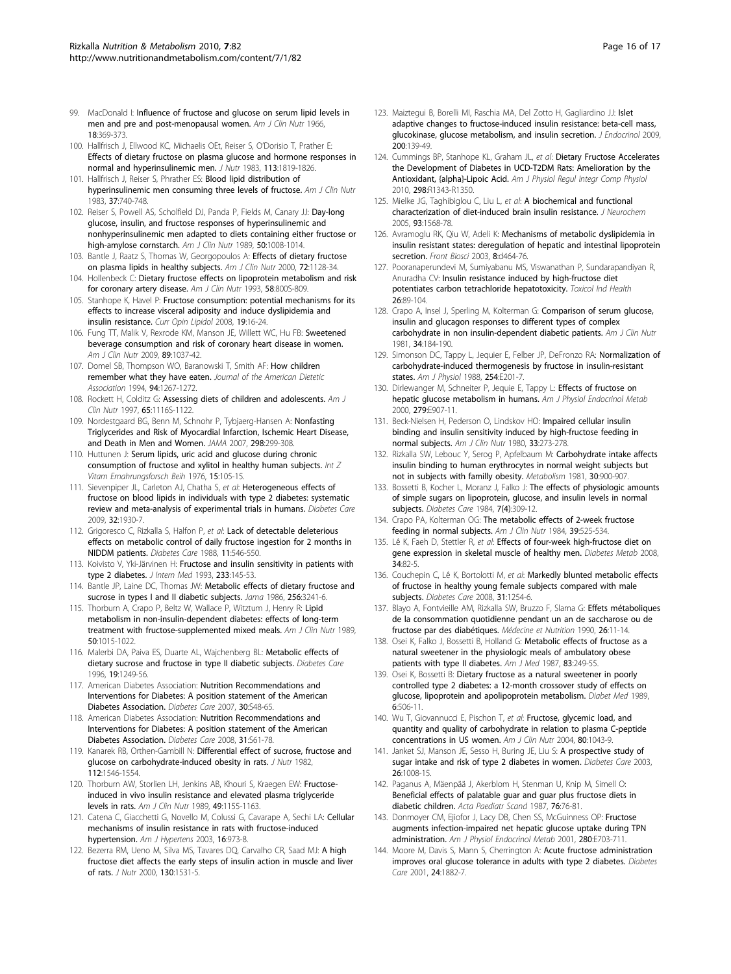- <span id="page-15-0"></span>99. MacDonald I: [Influence of fructose and glucose on serum lipid levels in](http://www.ncbi.nlm.nih.gov/pubmed/4951521?dopt=Abstract) [men and pre and post-menopausal women.](http://www.ncbi.nlm.nih.gov/pubmed/4951521?dopt=Abstract) Am J Clin Nutr 1966, 18:369-373.
- 100. Hallfrisch J, Ellwood KC, Michaelis OEt, Reiser S, O'Dorisio T, Prather E: [Effects of dietary fructose on plasma glucose and hormone responses in](http://www.ncbi.nlm.nih.gov/pubmed/6350544?dopt=Abstract) [normal and hyperinsulinemic men.](http://www.ncbi.nlm.nih.gov/pubmed/6350544?dopt=Abstract) J Nutr 1983, 113:1819-1826.
- 101. Hallfrisch J, Reiser S, Phrather ES: [Blood lipid distribution of](http://www.ncbi.nlm.nih.gov/pubmed/6846212?dopt=Abstract) [hyperinsulinemic men consuming three levels of fructose.](http://www.ncbi.nlm.nih.gov/pubmed/6846212?dopt=Abstract) Am J Clin Nutr 1983, 37:740-748.
- 102. Reiser S, Powell AS, Scholfield DJ, Panda P, Fields M, Canary JJ: [Day-long](http://www.ncbi.nlm.nih.gov/pubmed/2683715?dopt=Abstract) [glucose, insulin, and fructose responses of hyperinsulinemic and](http://www.ncbi.nlm.nih.gov/pubmed/2683715?dopt=Abstract) [nonhyperinsulinemic men adapted to diets containing either fructose or](http://www.ncbi.nlm.nih.gov/pubmed/2683715?dopt=Abstract) [high-amylose cornstarch.](http://www.ncbi.nlm.nih.gov/pubmed/2683715?dopt=Abstract) Am J Clin Nutr 1989, 50:1008-1014.
- 103. Bantle J, Raatz S, Thomas W, Georgopoulos A: [Effects of dietary fructose](http://www.ncbi.nlm.nih.gov/pubmed/11063439?dopt=Abstract) [on plasma lipids in healthy subjects.](http://www.ncbi.nlm.nih.gov/pubmed/11063439?dopt=Abstract) Am J Clin Nutr 2000, 72:1128-34.
- 104. Hollenbeck C: [Dietary fructose effects on lipoprotein metabolism and risk](http://www.ncbi.nlm.nih.gov/pubmed/8213613?dopt=Abstract) [for coronary artery disease.](http://www.ncbi.nlm.nih.gov/pubmed/8213613?dopt=Abstract) Am J Clin Nutr 1993, 58:800S-809.
- 105. Stanhope K, Havel P: [Fructose consumption: potential mechanisms for its](http://www.ncbi.nlm.nih.gov/pubmed/18196982?dopt=Abstract) [effects to increase visceral adiposity and induce dyslipidemia and](http://www.ncbi.nlm.nih.gov/pubmed/18196982?dopt=Abstract) [insulin resistance.](http://www.ncbi.nlm.nih.gov/pubmed/18196982?dopt=Abstract) Curr Opin Lipidol 2008, 19:16-24.
- 106. Fung TT, Malik V, Rexrode KM, Manson JE, Willett WC, Hu FB: [Sweetened](http://www.ncbi.nlm.nih.gov/pubmed/19211821?dopt=Abstract) [beverage consumption and risk of coronary heart disease in women.](http://www.ncbi.nlm.nih.gov/pubmed/19211821?dopt=Abstract) Am *J Clin Nutr 2009* 89:1037-42
- 107. Domel SB, Thompson WO, Baranowski T, Smith AF: [How children](http://www.ncbi.nlm.nih.gov/pubmed/7963170?dopt=Abstract) [remember what they have eaten.](http://www.ncbi.nlm.nih.gov/pubmed/7963170?dopt=Abstract) Journal of the American Dietetic Association 1994, 94:1267-1272.
- 108. Rockett H, Colditz G: [Assessing diets of children and adolescents.](http://www.ncbi.nlm.nih.gov/pubmed/9094907?dopt=Abstract) Am J Clin Nutr 1997, 65:1116S-1122.
- 109. Nordestgaard BG, Benn M, Schnohr P, Tybjaerg-Hansen A: [Nonfasting](http://www.ncbi.nlm.nih.gov/pubmed/17635890?dopt=Abstract) [Triglycerides and Risk of Myocardial Infarction, Ischemic Heart Disease,](http://www.ncbi.nlm.nih.gov/pubmed/17635890?dopt=Abstract) [and Death in Men and Women.](http://www.ncbi.nlm.nih.gov/pubmed/17635890?dopt=Abstract) JAMA 2007, 298:299-308.
- 110. Huttunen J: [Serum lipids, uric acid and glucose during chronic](http://www.ncbi.nlm.nih.gov/pubmed/1066327?dopt=Abstract) [consumption of fructose and xylitol in healthy human subjects.](http://www.ncbi.nlm.nih.gov/pubmed/1066327?dopt=Abstract) Int  $Z$ Vitam Ernahrungsforsch Beih 1976, 15:105-15.
- 111. Sievenpiper JL, Carleton AJ, Chatha S, et al: [Heterogeneous effects of](http://www.ncbi.nlm.nih.gov/pubmed/19592634?dopt=Abstract) [fructose on blood lipids in individuals with type 2 diabetes: systematic](http://www.ncbi.nlm.nih.gov/pubmed/19592634?dopt=Abstract) [review and meta-analysis of experimental trials in humans.](http://www.ncbi.nlm.nih.gov/pubmed/19592634?dopt=Abstract) Diabetes Care 2009, 32:1930-7.
- 112. Grigoresco C, Rizkalla S, Halfon P, et al: [Lack of detectable deleterious](http://www.ncbi.nlm.nih.gov/pubmed/3203571?dopt=Abstract) [effects on metabolic control of daily fructose ingestion for 2 months in](http://www.ncbi.nlm.nih.gov/pubmed/3203571?dopt=Abstract) [NIDDM patients.](http://www.ncbi.nlm.nih.gov/pubmed/3203571?dopt=Abstract) Diabetes Care 1988, 11:546-550.
- 113. Koivisto V, Yki-Järvinen H: [Fructose and insulin sensitivity in patients with](http://www.ncbi.nlm.nih.gov/pubmed/8433075?dopt=Abstract) [type 2 diabetes.](http://www.ncbi.nlm.nih.gov/pubmed/8433075?dopt=Abstract) J Intern Med 1993, 233:145-53.
- 114. Bantle JP, Laine DC, Thomas JW: [Metabolic effects of dietary fructose and](http://www.ncbi.nlm.nih.gov/pubmed/3783868?dopt=Abstract) [sucrose in types I and II diabetic subjects.](http://www.ncbi.nlm.nih.gov/pubmed/3783868?dopt=Abstract) Jama 1986, 256:3241-6.
- 115. Thorburn A, Crapo P, Beltz W, Wallace P, Witztum J, Henry R: [Lipid](http://www.ncbi.nlm.nih.gov/pubmed/2683716?dopt=Abstract) [metabolism in non-insulin-dependent diabetes: effects of long-term](http://www.ncbi.nlm.nih.gov/pubmed/2683716?dopt=Abstract) [treatment with fructose-supplemented mixed meals.](http://www.ncbi.nlm.nih.gov/pubmed/2683716?dopt=Abstract) Am J Clin Nutr 1989, 50:1015-1022.
- 116. Malerbi DA, Paiva ES, Duarte AL, Wajchenberg BL: [Metabolic effects of](http://www.ncbi.nlm.nih.gov/pubmed/8908389?dopt=Abstract) [dietary sucrose and fructose in type II diabetic subjects.](http://www.ncbi.nlm.nih.gov/pubmed/8908389?dopt=Abstract) Diabetes Care 1996, 19:1249-56.
- 117. American Diabetes Association: [Nutrition Recommendations and](http://www.ncbi.nlm.nih.gov/pubmed/17192379?dopt=Abstract) [Interventions for Diabetes: A position statement of the American](http://www.ncbi.nlm.nih.gov/pubmed/17192379?dopt=Abstract) [Diabetes Association.](http://www.ncbi.nlm.nih.gov/pubmed/17192379?dopt=Abstract) Diabetes Care 2007, 30:S48-65.
- 118. American Diabetes Association: [Nutrition Recommendations and](http://www.ncbi.nlm.nih.gov/pubmed/18165339?dopt=Abstract) [Interventions for Diabetes: A position statement of the American](http://www.ncbi.nlm.nih.gov/pubmed/18165339?dopt=Abstract) [Diabetes Association.](http://www.ncbi.nlm.nih.gov/pubmed/18165339?dopt=Abstract) Diabetes Care 2008, 31:S61-78.
- 119. Kanarek RB, Orthen-Gambill N: [Differential effect of sucrose, fructose and](http://www.ncbi.nlm.nih.gov/pubmed/7047694?dopt=Abstract) [glucose on carbohydrate-induced obesity in rats.](http://www.ncbi.nlm.nih.gov/pubmed/7047694?dopt=Abstract) J Nutr 1982, 112:1546-1554.
- 120. Thorburn AW, Storlien LH, Jenkins AB, Khouri S, Kraegen EW: [Fructose](http://www.ncbi.nlm.nih.gov/pubmed/2658534?dopt=Abstract)[induced in vivo insulin resistance and elevated plasma triglyceride](http://www.ncbi.nlm.nih.gov/pubmed/2658534?dopt=Abstract) [levels in rats.](http://www.ncbi.nlm.nih.gov/pubmed/2658534?dopt=Abstract) Am J Clin Nutr 1989, 49:1155-1163.
- 121. Catena C, Giacchetti G, Novello M, Colussi G, Cavarape A, Sechi LA: [Cellular](http://www.ncbi.nlm.nih.gov/pubmed/14573337?dopt=Abstract) [mechanisms of insulin resistance in rats with fructose-induced](http://www.ncbi.nlm.nih.gov/pubmed/14573337?dopt=Abstract) [hypertension.](http://www.ncbi.nlm.nih.gov/pubmed/14573337?dopt=Abstract) Am J Hypertens 2003, 16:973-8.
- 122. Bezerra RM, Ueno M, Silva MS, Tavares DQ, Carvalho CR, Saad MJ: [A high](http://www.ncbi.nlm.nih.gov/pubmed/10827205?dopt=Abstract) [fructose diet affects the early steps of insulin action in muscle and liver](http://www.ncbi.nlm.nih.gov/pubmed/10827205?dopt=Abstract) [of rats.](http://www.ncbi.nlm.nih.gov/pubmed/10827205?dopt=Abstract) J Nutr 2000, 130:1531-5.
- 123. Maiztegui B, Borelli MI, Raschia MA, Del Zotto H, Gagliardino JJ: [Islet](http://www.ncbi.nlm.nih.gov/pubmed/19039094?dopt=Abstract) [adaptive changes to fructose-induced insulin resistance: beta-cell mass,](http://www.ncbi.nlm.nih.gov/pubmed/19039094?dopt=Abstract) [glucokinase, glucose metabolism, and insulin secretion.](http://www.ncbi.nlm.nih.gov/pubmed/19039094?dopt=Abstract) J Endocrinol 2009, 200:139-49.
- 124. Cummings BP, Stanhope KL, Graham JL, et al: [Dietary Fructose Accelerates](http://www.ncbi.nlm.nih.gov/pubmed/20147607?dopt=Abstract) [the Development of Diabetes in UCD-T2DM Rats: Amelioration by the](http://www.ncbi.nlm.nih.gov/pubmed/20147607?dopt=Abstract) [Antioxidant, {alpha}-Lipoic Acid.](http://www.ncbi.nlm.nih.gov/pubmed/20147607?dopt=Abstract) Am J Physiol Regul Integr Comp Physiol 2010, 298:R1343-R1350.
- 125. Mielke JG, Taghibiglou C, Liu L, et al: [A biochemical and functional](http://www.ncbi.nlm.nih.gov/pubmed/15935073?dopt=Abstract) [characterization of diet-induced brain insulin resistance.](http://www.ncbi.nlm.nih.gov/pubmed/15935073?dopt=Abstract) J Neurochem 2005, 93:1568-78.
- 126. Avramoglu RK, Qiu W, Adeli K: [Mechanisms of metabolic dyslipidemia in](http://www.ncbi.nlm.nih.gov/pubmed/12456312?dopt=Abstract) [insulin resistant states: deregulation of hepatic and intestinal lipoprotein](http://www.ncbi.nlm.nih.gov/pubmed/12456312?dopt=Abstract) [secretion.](http://www.ncbi.nlm.nih.gov/pubmed/12456312?dopt=Abstract) Front Biosci 2003, 8:d464-76.
- 127. Pooranaperundevi M, Sumiyabanu MS, Viswanathan P, Sundarapandiyan R, Anuradha CV: [Insulin resistance induced by high-fructose diet](http://www.ncbi.nlm.nih.gov/pubmed/20103580?dopt=Abstract) [potentiates carbon tetrachloride hepatotoxicity.](http://www.ncbi.nlm.nih.gov/pubmed/20103580?dopt=Abstract) Toxicol Ind Health 26:89-104.
- 128. Crapo A, Insel J, Sperling M, Kolterman G: [Comparison of serum glucose,](http://www.ncbi.nlm.nih.gov/pubmed/7010982?dopt=Abstract) [insulin and glucagon responses to different types of complex](http://www.ncbi.nlm.nih.gov/pubmed/7010982?dopt=Abstract) [carbohydrate in non insulin-dependent diabetic patients.](http://www.ncbi.nlm.nih.gov/pubmed/7010982?dopt=Abstract) Am J Clin Nutr 1981, 34:184-190.
- 129. Simonson DC, Tappy L, Jequier E, Felber JP, DeFronzo RA: [Normalization of](http://www.ncbi.nlm.nih.gov/pubmed/3279802?dopt=Abstract) [carbohydrate-induced thermogenesis by fructose in insulin-resistant](http://www.ncbi.nlm.nih.gov/pubmed/3279802?dopt=Abstract) [states.](http://www.ncbi.nlm.nih.gov/pubmed/3279802?dopt=Abstract) Am J Physiol 1988, 254:E201-7.
- 130. Dirlewanger M, Schneiter P, Jequie E, Tappy L: [Effects of fructose on](http://www.ncbi.nlm.nih.gov/pubmed/11001775?dopt=Abstract) [hepatic glucose metabolism in humans.](http://www.ncbi.nlm.nih.gov/pubmed/11001775?dopt=Abstract) Am J Physiol Endocrinol Metab 2000, 279:E907-11.
- 131. Beck-Nielsen H, Pederson O, Lindskov HO: [Impaired cellular insulin](http://www.ncbi.nlm.nih.gov/pubmed/6986758?dopt=Abstract) [binding and insulin sensitivity induced by high-fructose feeding in](http://www.ncbi.nlm.nih.gov/pubmed/6986758?dopt=Abstract) [normal subjects.](http://www.ncbi.nlm.nih.gov/pubmed/6986758?dopt=Abstract) Am J Clin Nutr 1980, 33:273-278.
- 132. Rizkalla SW, Lebouc Y, Serog P, Apfelbaum M: [Carbohydrate intake affects](http://www.ncbi.nlm.nih.gov/pubmed/7022110?dopt=Abstract) [insulin binding to human erythrocytes in normal weight subjects but](http://www.ncbi.nlm.nih.gov/pubmed/7022110?dopt=Abstract) [not in subjects with familly obesity.](http://www.ncbi.nlm.nih.gov/pubmed/7022110?dopt=Abstract) Metabolism 1981, 30:900-907.
- 133. Bossetti B, Kocher L, Moranz J, Falko J: [The effects of physiologic amounts](http://www.ncbi.nlm.nih.gov/pubmed/6381003?dopt=Abstract) [of simple sugars on lipoprotein, glucose, and insulin levels in normal](http://www.ncbi.nlm.nih.gov/pubmed/6381003?dopt=Abstract) [subjects.](http://www.ncbi.nlm.nih.gov/pubmed/6381003?dopt=Abstract) Diabetes Care 1984, 7(4):309-12.
- 134. Crapo PA, Kolterman OG: [The metabolic effects of 2-week fructose](http://www.ncbi.nlm.nih.gov/pubmed/6369956?dopt=Abstract) [feeding in normal subjects.](http://www.ncbi.nlm.nih.gov/pubmed/6369956?dopt=Abstract) Am J Clin Nutr 1984, 39:525-534.
- 135. Lê K, Faeh D, Stettler R, et al: [Effects of four-week high-fructose diet on](http://www.ncbi.nlm.nih.gov/pubmed/18063403?dopt=Abstract) [gene expression in skeletal muscle of healthy men.](http://www.ncbi.nlm.nih.gov/pubmed/18063403?dopt=Abstract) Diabetes Metab 2008, 34:82-5.
- 136. Couchepin C, Lê K, Bortolotti M, et al: [Markedly blunted metabolic effects](http://www.ncbi.nlm.nih.gov/pubmed/18332156?dopt=Abstract) [of fructose in healthy young female subjects compared with male](http://www.ncbi.nlm.nih.gov/pubmed/18332156?dopt=Abstract) [subjects.](http://www.ncbi.nlm.nih.gov/pubmed/18332156?dopt=Abstract) Diabetes Care 2008, 31:1254-6.
- 137. Blayo A, Fontvieille AM, Rizkalla SW, Bruzzo F, Slama G: Effets métaboliques de la consommation quotidienne pendant un an de saccharose ou de fructose par des diabétiques. Médecine et Nutrition 1990, 26:11-14.
- 138. Osei K, Falko J, Bossetti B, Holland G: [Metabolic effects of fructose as a](http://www.ncbi.nlm.nih.gov/pubmed/3618627?dopt=Abstract) [natural sweetener in the physiologic meals of ambulatory obese](http://www.ncbi.nlm.nih.gov/pubmed/3618627?dopt=Abstract) [patients with type II diabetes.](http://www.ncbi.nlm.nih.gov/pubmed/3618627?dopt=Abstract) Am J Med 1987, 83:249-55.
- 139. Osei K, Bossetti B: [Dietary fructose as a natural sweetener in poorly](http://www.ncbi.nlm.nih.gov/pubmed/2527132?dopt=Abstract) [controlled type 2 diabetes: a 12-month crossover study of effects on](http://www.ncbi.nlm.nih.gov/pubmed/2527132?dopt=Abstract) [glucose, lipoprotein and apolipoprotein metabolism.](http://www.ncbi.nlm.nih.gov/pubmed/2527132?dopt=Abstract) Diabet Med 1989, 6:506-11.
- 140. Wu T, Giovannucci E, Pischon T, et al: [Fructose, glycemic load, and](http://www.ncbi.nlm.nih.gov/pubmed/15447918?dopt=Abstract) [quantity and quality of carbohydrate in relation to plasma C-peptide](http://www.ncbi.nlm.nih.gov/pubmed/15447918?dopt=Abstract) [concentrations in US women.](http://www.ncbi.nlm.nih.gov/pubmed/15447918?dopt=Abstract) Am J Clin Nutr 2004, 80:1043-9.
- 141. Janket SJ, Manson JE, Sesso H, Buring JE, Liu S: [A prospective study of](http://www.ncbi.nlm.nih.gov/pubmed/12663565?dopt=Abstract) [sugar intake and risk of type 2 diabetes in women.](http://www.ncbi.nlm.nih.gov/pubmed/12663565?dopt=Abstract) Diabetes Care 2003, 26:1008-15.
- 142. Paganus A, Mäenpää J, Akerblom H, Stenman U, Knip M, Simell O: [Beneficial effects of palatable guar and guar plus fructose diets in](http://www.ncbi.nlm.nih.gov/pubmed/3551494?dopt=Abstract) [diabetic children.](http://www.ncbi.nlm.nih.gov/pubmed/3551494?dopt=Abstract) Acta Paediatr Scand 1987, 76:76-81.
- 143. Donmoyer CM, Ejiofor J, Lacy DB, Chen SS, McGuinness OP: [Fructose](http://www.ncbi.nlm.nih.gov/pubmed/11287352?dopt=Abstract) [augments infection-impaired net hepatic glucose uptake during TPN](http://www.ncbi.nlm.nih.gov/pubmed/11287352?dopt=Abstract) [administration.](http://www.ncbi.nlm.nih.gov/pubmed/11287352?dopt=Abstract) Am J Physiol Endocrinol Metab 2001, 280:E703-711.
- 144. Moore M, Davis S, Mann S, Cherrington A: [Acute fructose administration](http://www.ncbi.nlm.nih.gov/pubmed/11679451?dopt=Abstract) [improves oral glucose tolerance in adults with type 2 diabetes.](http://www.ncbi.nlm.nih.gov/pubmed/11679451?dopt=Abstract) Diabetes Care 2001, 24:1882-7.